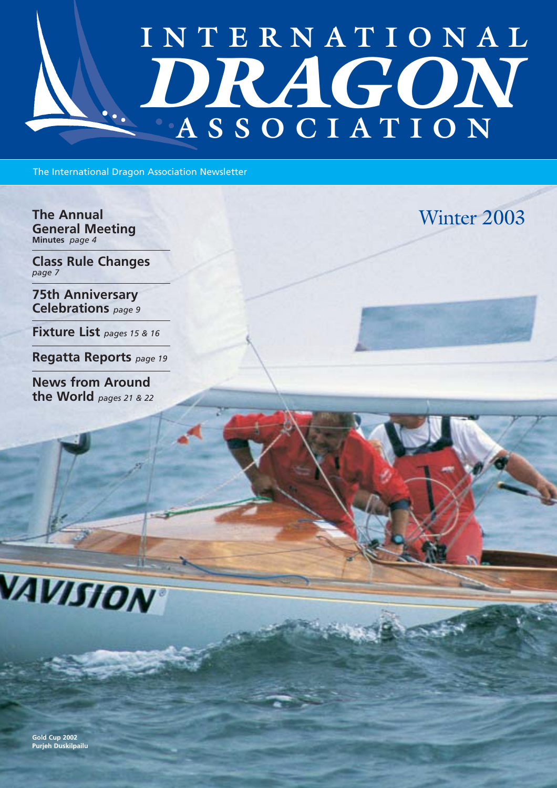# **INTERNATIONAL** *DRAGON*  **ASSOCIATION**

The International Dragon Association Newsletter

**The Annual** Winter 2003 **General Meeting Minutes** *page 4*

**Class Rule Changes** *page 7*

**75th Anniversary Celebrations** *page 9*

**Fixture List** *pages 15 & 16*

**Regatta Reports** *page 19*

**News from Around the World** *pages 21 & 22*





**Gold Cup 2002 Purjeh Duskilpailu**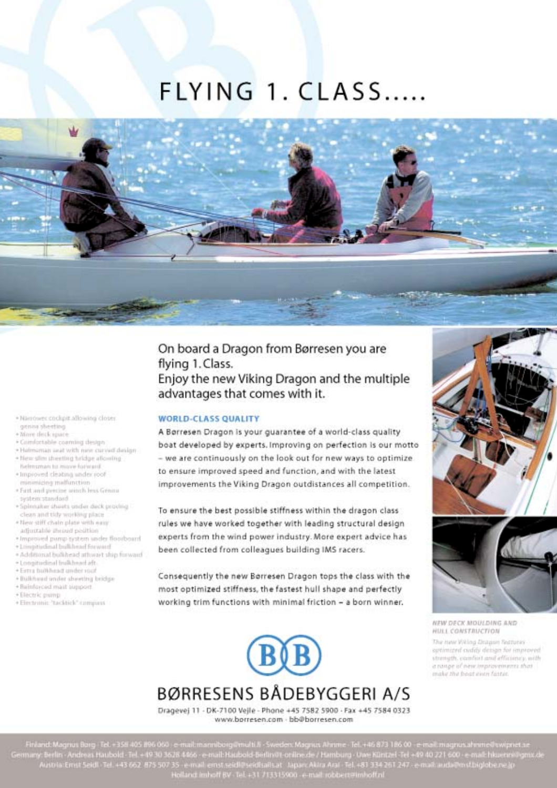## FLYING 1. CLASS.....

- · Nambuer cockpit allowing closer
- anna sheeting + More deck space
- 
- \* Crimitetable coaming design · Haimaman saat with new curved design
- · New slim pheeting bridge allowing
- helmsman to move forward. + Improved cleating under roof
- minimizing malfunction
- \* First and precise winch less Grinna
- system standard
- · Spinnaker sheets under deck proving
- clean and tidy working place . New stiff chain plate with easy
- adjustable shroud peobles
- · Improved pump tystem under Boorboard
- + Longitudinal bulkhead forward
- · Additional bulkhead athwart ship forward
- · Longitudinal bulkhead aft
- + Ferra bulkhead under mot
- + Bulkhaad under sheeting bridge · Reinforced mail support
- 
- 

#### · Electric pump

### + Electronic 'tacktick' compass

### On board a Dragon from Børresen you are flying 1. Class. Enjoy the new Viking Dragon and the multiple advantages that comes with it.

#### **WORLD-CLASS QUALITY**

A Børresen Dragon is your guarantee of a world-class quality boat developed by experts. Improving on perfection is our motto - we are continuously on the look out for new ways to optimize. to ensure improved speed and function, and with the latest improvements the Viking Dragon outdistances all competition.

To ensure the best possible stiffness within the dragon class rules we have worked together with leading structural design experts from the wind power industry. More expert advice has been collected from colleagues building IMS racers.

Consequently the new Borresen Dragon tops the class with the most optimized stiffness, the fastest hull shape and perfectly working trim functions with minimal friction - a born winner.

## BØRRESENS BÅDEBYGGERI A/S

Dragevej 11 - DK-7100 Vejle - Phone +45 7582 5900 - Fax +45 7584 0323 www.borresen.com - bb@borresen.com



NEW DECK MOULDING AND HULL CONSTRUCTION

The new Willing Disignet Systems aptimized cuddy design for improved strength, comfort and efficiency, with a range of new improvements that make the boat einer faster.

Finland: Magnus Borg: Tel. +358-405 896-060 : e-mail:manniborg@multi.fi - Sweden: Magnus Ahnme - Tel. +46 873 186 00 - e-mail:magnus.ahnme@swipnet.se<br>many: Berlin - Andreas Haubold - Tel. +49 30 3628 4466 - e-mail: Haubol Holland imhoff BV . Tel. +31 713315900 -e-mail:robbert@imhoff.nl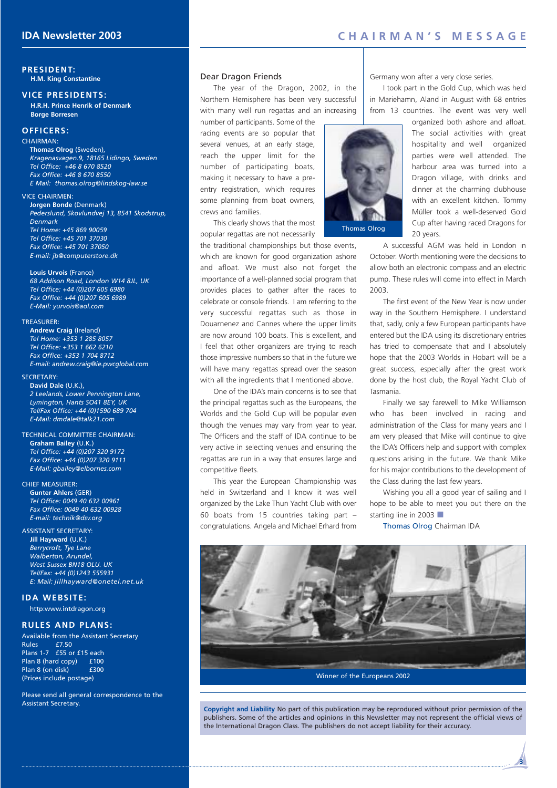#### **PRESIDENT: H.M. King Constantine**

### **VICE PRESIDENTS:**

**H.R.H. Prince Henrik of Denmark Borge Borresen**

#### **OFFICERS:**

CHAIRMAN:

**Thomas Olrog** (Sweden), *Kragenasvagen.9, 18165 Lidingo, Sweden Tel Office: +46 8 670 8520 Fax Office: +46 8 670 8550 E Mail: thomas.olrog@lindskog-law.se*

#### VICE CHAIRMEN:

**Jorgen Bonde** (Denmark) *Pederslund, Skovlundvej 13, 8541 Skodstrup, Denmark Tel Home: +45 869 90059 Tel Office: +45 701 37030 Fax Office: +45 701 37050 E-mail: jb@computerstore.dk*

#### **Louis Urvois** (France)

*68 Addison Road, London W14 8JL, UK Tel Office: +44 (0)207 605 6980 Fax Office: +44 (0)207 605 6989 E-Mail: yurvois@aol.com*

#### TREASURER:

**Andrew Craig** (Ireland) *Tel Home: +353 1 285 8057 Tel Office: +353 1 662 6210 Fax Office: +353 1 704 8712 E-mail: andrew.craig@ie.pwcglobal.com*

#### SECRETARY:

**David Dale** (U.K.), *2 Leelands, Lower Pennington Lane, Lymington, Hants SO41 8EY, UK Tel/Fax Office: +44 (0)1590 689 704 E-Mail: dmdale@talk21.com*

TECHNICAL COMMITTEE CHAIRMAN: **Graham Bailey** (U.K.) *Tel Office: +44 (0)207 320 9172 Fax Office: +44 (0)207 320 9111 E-Mail: gbailey@elbornes.com*

#### CHIEF MEASURER:

**Gunter Ahlers** (GER) *Tel Office: 0049 40 632 00961 Fax Office: 0049 40 632 00928 E-mail: technik@dsv.org* 

#### ASSISTANT SECRETARY:

**Jill Hayward** (U.K.) *Berrycroft, Tye Lane Walberton, Arundel, West Sussex BN18 OLU. UK Tel/Fax: +44 (0)1243 555931 E: Mail: jillhayward@onetel.net.uk*

#### **IDA WEBSITE:**

http:www.intdragon.org

#### **RULES AND PLANS:**

Available from the Assistant Secretary Rules £7.50 Plans 1-7 £55 or £15 each Plan 8 (hard copy) <br>Plan 8 (on disk) <br>E300 Plan 8 (on disk) (Prices include postage)

Please send all general correspondence to the Assistant Secretary.

#### Dear Dragon Friends

The year of the Dragon, 2002, in the Northern Hemisphere has been very successful with many well run regattas and an increasing

number of participants. Some of the racing events are so popular that several venues, at an early stage, reach the upper limit for the number of participating boats, making it necessary to have a preentry registration, which requires some planning from boat owners, crews and families.

This clearly shows that the most popular regattas are not necessarily

the traditional championships but those events, which are known for good organization ashore and afloat. We must also not forget the importance of a well-planned social program that provides places to gather after the races to celebrate or console friends. I am referring to the very successful regattas such as those in Douarnenez and Cannes where the upper limits are now around 100 boats. This is excellent, and I feel that other organizers are trying to reach those impressive numbers so that in the future we will have many regattas spread over the season with all the ingredients that I mentioned above.

One of the IDA's main concerns is to see that the principal regattas such as the Europeans, the Worlds and the Gold Cup will be popular even though the venues may vary from year to year. The Officers and the staff of IDA continue to be very active in selecting venues and ensuring the regattas are run in a way that ensures large and competitive fleets.

This year the European Championship was held in Switzerland and I know it was well organized by the Lake Thun Yacht Club with over 60 boats from 15 countries taking part – congratulations. Angela and Michael Erhard from Germany won after a very close series.

I took part in the Gold Cup, which was held in Mariehamn, Aland in August with 68 entries from 13 countries. The event was very well



organized both ashore and afloat. The social activities with great hospitality and well organized parties were well attended. The harbour area was turned into a Dragon village, with drinks and dinner at the charming clubhouse with an excellent kitchen. Tommy Müller took a well-deserved Gold Cup after having raced Dragons for 20 years.

A successful AGM was held in London in October. Worth mentioning were the decisions to allow both an electronic compass and an electric pump. These rules will come into effect in March 2003.

The first event of the New Year is now under way in the Southern Hemisphere. I understand that, sadly, only a few European participants have entered but the IDA using its discretionary entries has tried to compensate that and I absolutely hope that the 2003 Worlds in Hobart will be a great success, especially after the great work done by the host club, the Royal Yacht Club of Tasmania.

Finally we say farewell to Mike Williamson who has been involved in racing and administration of the Class for many years and I am very pleased that Mike will continue to give the IDA's Officers help and support with complex questions arising in the future. We thank Mike for his major contributions to the development of the Class during the last few years.

Wishing you all a good year of sailing and I hope to be able to meet you out there on the starting line in 2003 ■

**3**

Thomas Olrog Chairman IDA



**Copyright and Liability** No part of this publication may be reproduced without prior permission of the publishers. Some of the articles and opinions in this Newsletter may not represent the official views of the International Dragon Class. The publishers do not accept liability for their accuracy.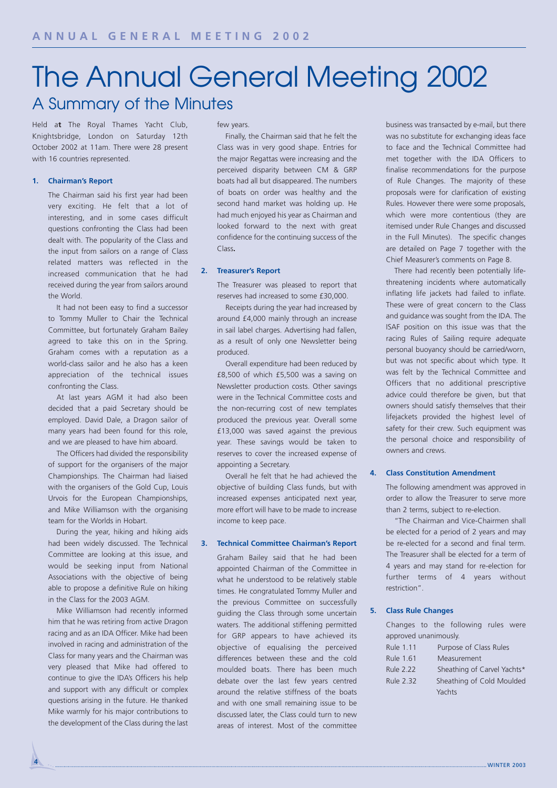## The Annual General Meeting 2002 A Summary of the Minutes

Held a**t** The Royal Thames Yacht Club, Knightsbridge, London on Saturday 12th October 2002 at 11am. There were 28 present with 16 countries represented.

#### **1. Chairman's Report**

The Chairman said his first year had been very exciting. He felt that a lot of interesting, and in some cases difficult questions confronting the Class had been dealt with. The popularity of the Class and the input from sailors on a range of Class related matters was reflected in the increased communication that he had received during the year from sailors around the World.

It had not been easy to find a successor to Tommy Muller to Chair the Technical Committee, but fortunately Graham Bailey agreed to take this on in the Spring. Graham comes with a reputation as a world-class sailor and he also has a keen appreciation of the technical issues confronting the Class.

At last years AGM it had also been decided that a paid Secretary should be employed. David Dale, a Dragon sailor of many years had been found for this role, and we are pleased to have him aboard.

The Officers had divided the responsibility of support for the organisers of the major Championships. The Chairman had liaised with the organisers of the Gold Cup, Louis Urvois for the European Championships, and Mike Williamson with the organising team for the Worlds in Hobart.

During the year, hiking and hiking aids had been widely discussed. The Technical Committee are looking at this issue, and would be seeking input from National Associations with the objective of being able to propose a definitive Rule on hiking in the Class for the 2003 AGM.

Mike Williamson had recently informed him that he was retiring from active Dragon racing and as an IDA Officer. Mike had been involved in racing and administration of the Class for many years and the Chairman was very pleased that Mike had offered to continue to give the IDA's Officers his help and support with any difficult or complex questions arising in the future. He thanked Mike warmly for his major contributions to the development of the Class during the last

#### few years.

Finally, the Chairman said that he felt the Class was in very good shape. Entries for the major Regattas were increasing and the perceived disparity between CM & GRP boats had all but disappeared. The numbers of boats on order was healthy and the second hand market was holding up. He had much enjoyed his year as Chairman and looked forward to the next with great confidence for the continuing success of the Class**.**

#### **2. Treasurer's Report**

The Treasurer was pleased to report that reserves had increased to some £30,000.

Receipts during the year had increased by around £4,000 mainly through an increase in sail label charges. Advertising had fallen, as a result of only one Newsletter being produced.

Overall expenditure had been reduced by £8,500 of which £5,500 was a saving on Newsletter production costs. Other savings were in the Technical Committee costs and the non-recurring cost of new templates produced the previous year. Overall some £13,000 was saved against the previous year. These savings would be taken to reserves to cover the increased expense of appointing a Secretary.

Overall he felt that he had achieved the objective of building Class funds, but with increased expenses anticipated next year, more effort will have to be made to increase income to keep pace.

#### **3. Technical Committee Chairman's Report**

Graham Bailey said that he had been appointed Chairman of the Committee in what he understood to be relatively stable times. He congratulated Tommy Muller and the previous Committee on successfully guiding the Class through some uncertain waters. The additional stiffening permitted for GRP appears to have achieved its objective of equalising the perceived differences between these and the cold moulded boats. There has been much debate over the last few years centred around the relative stiffness of the boats and with one small remaining issue to be discussed later, the Class could turn to new areas of interest. Most of the committee

business was transacted by e-mail, but there was no substitute for exchanging ideas face to face and the Technical Committee had met together with the IDA Officers to finalise recommendations for the purpose of Rule Changes. The majority of these proposals were for clarification of existing Rules. However there were some proposals, which were more contentious (they are itemised under Rule Changes and discussed in the Full Minutes). The specific changes are detailed on Page 7 together with the Chief Measurer's comments on Page 8.

There had recently been potentially lifethreatening incidents where automatically inflating life jackets had failed to inflate. These were of great concern to the Class and guidance was sought from the IDA. The ISAF position on this issue was that the racing Rules of Sailing require adequate personal buoyancy should be carried/worn, but was not specific about which type. It was felt by the Technical Committee and Officers that no additional prescriptive advice could therefore be given, but that owners should satisfy themselves that their lifejackets provided the highest level of safety for their crew. Such equipment was the personal choice and responsibility of owners and crews.

#### **4. Class Constitution Amendment**

The following amendment was approved in order to allow the Treasurer to serve more than 2 terms, subject to re-election.

"The Chairman and Vice-Chairmen shall be elected for a period of 2 years and may be re-elected for a second and final term. The Treasurer shall be elected for a term of 4 years and may stand for re-election for further terms of 4 years without restriction".

#### **5. Class Rule Changes**

Changes to the following rules were approved unanimously.

| Rule 1.11        | Purpose of Class Rules      |
|------------------|-----------------------------|
| Rule 1.61        | Measurement                 |
| Rule 2.22        | Sheathing of Carvel Yachts* |
| <b>Rule 2.32</b> | Sheathing of Cold Moulded   |
|                  | Yachts                      |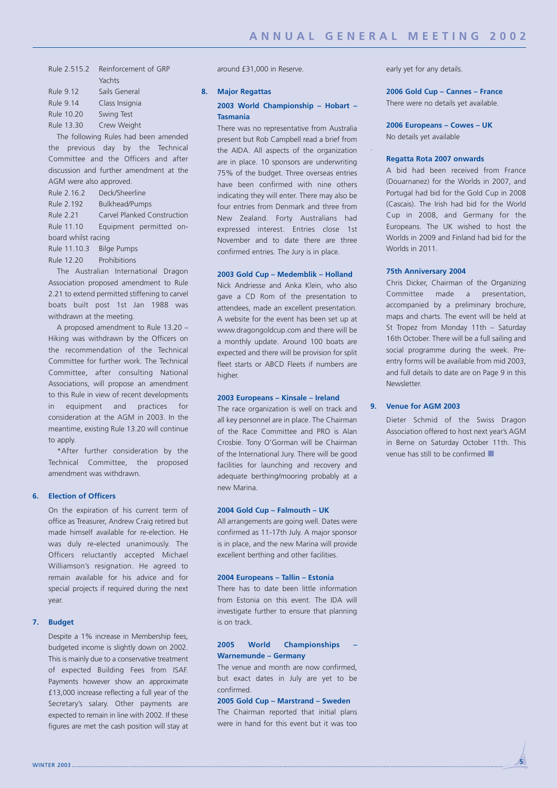.

| Rule 2.515.2     | Reinforcement of GRP |
|------------------|----------------------|
|                  | Yachts               |
| Rule 9.12        | Sails General        |
| <b>Rule 9.14</b> | Class Insignia       |
| Rule 10.20       | Swing Test           |
| Rule 13.30       | Crew Weight          |

The following Rules had been amended the previous day by the Technical Committee and the Officers and after discussion and further amendment at the AGM were also approved.

| Rule 2.16.2              | Deck/Sheerline              |  |  |  |
|--------------------------|-----------------------------|--|--|--|
| Rule 2.192               | Bulkhead/Pumps              |  |  |  |
| Rule 2.21                | Carvel Planked Construction |  |  |  |
| Rule 11.10               | Equipment permitted on-     |  |  |  |
| board whilst racing      |                             |  |  |  |
| Rule 11.10.3 Bilge Pumps |                             |  |  |  |

Rule 12.20 Prohibitions

The Australian International Dragon Association proposed amendment to Rule 2.21 to extend permitted stiffening to carvel boats built post 1st Jan 1988 was withdrawn at the meeting.

A proposed amendment to Rule 13.20 – Hiking was withdrawn by the Officers on the recommendation of the Technical Committee for further work. The Technical Committee, after consulting National Associations, will propose an amendment to this Rule in view of recent developments in equipment and practices for consideration at the AGM in 2003. In the meantime, existing Rule 13.20 will continue to apply.

\*After further consideration by the Technical Committee, the proposed amendment was withdrawn.

#### **6. Election of Officers**

On the expiration of his current term of office as Treasurer, Andrew Craig retired but made himself available for re-election. He was duly re-elected unanimously. The Officers reluctantly accepted Michael Williamson's resignation. He agreed to remain available for his advice and for special projects if required during the next year.

#### **7. Budget**

Despite a 1% increase in Membership fees, budgeted income is slightly down on 2002. This is mainly due to a conservative treatment of expected Building Fees from ISAF. Payments however show an approximate £13,000 increase reflecting a full year of the Secretary's salary. Other payments are expected to remain in line with 2002. If these figures are met the cash position will stay at around £31,000 in Reserve.

#### **8. Major Regattas**

#### **2003 World Championship – Hobart – Tasmania**

There was no representative from Australia present but Rob Campbell read a brief from the AIDA. All aspects of the organization are in place. 10 sponsors are underwriting 75% of the budget. Three overseas entries have been confirmed with nine others indicating they will enter. There may also be four entries from Denmark and three from New Zealand. Forty Australians had expressed interest. Entries close 1st November and to date there are three confirmed entries. The Jury is in place.

#### **2003 Gold Cup – Medemblik – Holland**

Nick Andriesse and Anka Klein, who also gave a CD Rom of the presentation to attendees, made an excellent presentation. A website for the event has been set up at www.dragongoldcup.com and there will be a monthly update. Around 100 boats are expected and there will be provision for split fleet starts or ABCD Fleets if numbers are higher.

#### **2003 Europeans – Kinsale – Ireland**

The race organization is well on track and all key personnel are in place. The Chairman of the Race Committee and PRO is Alan Crosbie. Tony O'Gorman will be Chairman of the International Jury. There will be good facilities for launching and recovery and adequate berthing/mooring probably at a new Marina.

#### **2004 Gold Cup – Falmouth – UK**

All arrangements are going well. Dates were confirmed as 11-17th July. A major sponsor is in place, and the new Marina will provide excellent berthing and other facilities.

#### **2004 Europeans – Tallin – Estonia**

There has to date been little information from Estonia on this event. The IDA will investigate further to ensure that planning is on track.

#### **2005 World Championships – Warnemunde – Germany**

The venue and month are now confirmed, but exact dates in July are yet to be confirmed.

#### **2005 Gold Cup – Marstrand – Sweden**

The Chairman reported that initial plans were in hand for this event but it was too early yet for any details.

### **2006 Gold Cup – Cannes – France**

There were no details yet available.

**2006 Europeans – Cowes – UK** No details yet available

#### **Regatta Rota 2007 onwards**

A bid had been received from France (Douarnanez) for the Worlds in 2007, and Portugal had bid for the Gold Cup in 2008 (Cascais). The Irish had bid for the World Cup in 2008, and Germany for the Europeans. The UK wished to host the Worlds in 2009 and Finland had bid for the Worlds in 2011.

#### **75th Anniversary 2004**

Chris Dicker, Chairman of the Organizing Committee made a presentation, accompanied by a preliminary brochure, maps and charts. The event will be held at St Tropez from Monday 11th – Saturday 16th October. There will be a full sailing and social programme during the week. Preentry forms will be available from mid 2003, and full details to date are on Page 9 in this Newsletter.

#### **9. Venue for AGM 2003**

Dieter Schmid of the Swiss Dragon Association offered to host next year's AGM in Berne on Saturday October 11th. This venue has still to be confirmed ■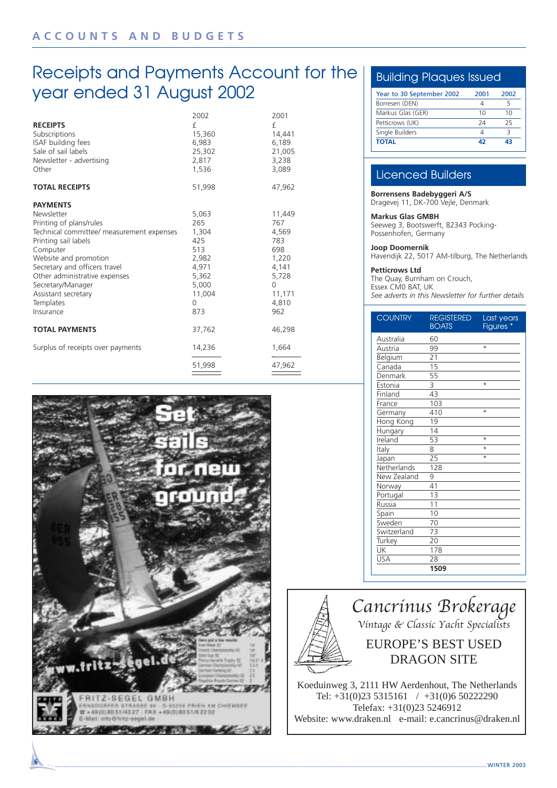## Receipts and Payments Account for the year ended 31 August 2002

| <b>RECEIPTS</b><br>Subscriptions<br>ISAF building fees<br>Sale of sail labels<br>Newsletter - advertising<br>Other                                                                                                                                                                                         | 2002<br>£<br>15,360<br>6,983<br>25,302<br>2,817<br>1,536                                             | 2001<br>£<br>14,441<br>6,189<br>21,005<br>3,238<br>3,089                                              |
|------------------------------------------------------------------------------------------------------------------------------------------------------------------------------------------------------------------------------------------------------------------------------------------------------------|------------------------------------------------------------------------------------------------------|-------------------------------------------------------------------------------------------------------|
| <b>TOTAL RECEIPTS</b>                                                                                                                                                                                                                                                                                      | 51,998                                                                                               | 47,962                                                                                                |
| <b>PAYMENTS</b><br>Newsletter<br>Printing of plans/rules<br>Technical committee/ measurement expenses<br>Printing sail labels<br>Computer<br>Website and promotion<br>Secretary and officers travel<br>Other administrative expenses<br>Secretary/Manager<br>Assistant secretary<br>Templates<br>Insurance | 5,063<br>265<br>1,304<br>425<br>513<br>2,982<br>4,971<br>5,362<br>5,000<br>11,004<br>$\Omega$<br>873 | 11,449<br>767<br>4,569<br>783<br>698<br>1,220<br>4,141<br>5,728<br>$\Omega$<br>11,171<br>4,810<br>962 |
| <b>TOTAL PAYMENTS</b>                                                                                                                                                                                                                                                                                      | 37,762                                                                                               | 46,298                                                                                                |
| Surplus of receipts over payments                                                                                                                                                                                                                                                                          | 14,236                                                                                               | 1,664                                                                                                 |
|                                                                                                                                                                                                                                                                                                            | 51,998                                                                                               | 47,962                                                                                                |



### Building Plaques Issued

| Year to 30 September 2002 | 2001 | 2002 |
|---------------------------|------|------|
| Borresen (DEN)            |      |      |
| Markus Glas (GER)         | 10   | 10   |
| Petticrows (UK)           | 24   | 25   |
| Single Builders           |      |      |
| <b>TOTAL</b>              | 47   | 43   |

### Licenced Builders

**Borrensens Badebyggeri A/S** Dragevej 11, DK-700 Vejle, Denmark

#### **Markus Glas GMBH**

Seeweg 3, Bootswerft, 82343 Pocking-Possenhofen, Germany

#### **Joop Doomernik**

Havendijk 22, 5017 AM-tilburg, The Netherlands

### **Petticrows Ltd**

The Quay, Burnham on Crouch, Essex CM0 8AT, UK *See adverts in this Newsletter for further details*

| <b>COUNTRY</b> | <b>REGISTERED</b><br><b>BOATS</b> | Last years<br><b>Figures</b> |
|----------------|-----------------------------------|------------------------------|
| Australia      | 60                                |                              |
| Austria        | 99                                | $\star$                      |
| Belgium        | 21                                |                              |
| Canada         | 15                                |                              |
| Denmark        | 55                                |                              |
| Estonia        | $\overline{\mathsf{3}}$           | $\star$                      |
| Finland        | $\overline{43}$                   |                              |
| France         | 103                               |                              |
| Germany        | 410                               | $\star$                      |
| Hong Kong      | 19                                |                              |
| Hungary        | 14                                |                              |
| Ireland        | 53                                | $\star$                      |
| Italy          | 8                                 | $\star$                      |
| Japan          | $\overline{25}$                   | $\star$                      |
| Netherlands    | 128                               |                              |
| New Zealand    | 9                                 |                              |
| Norway         | 41                                |                              |
| Portugal       | 13                                |                              |
| Russia         | 11                                |                              |
| Spain          | 10                                |                              |
| Sweden         | 70                                |                              |
| Switzerland    | 73                                |                              |
| Turkey         | 20                                |                              |
| UK             | 178                               |                              |
| USA            | 28                                |                              |
|                | 1509                              |                              |



Website: www.draken.nl e-mail: e.cancrinus@draken.nl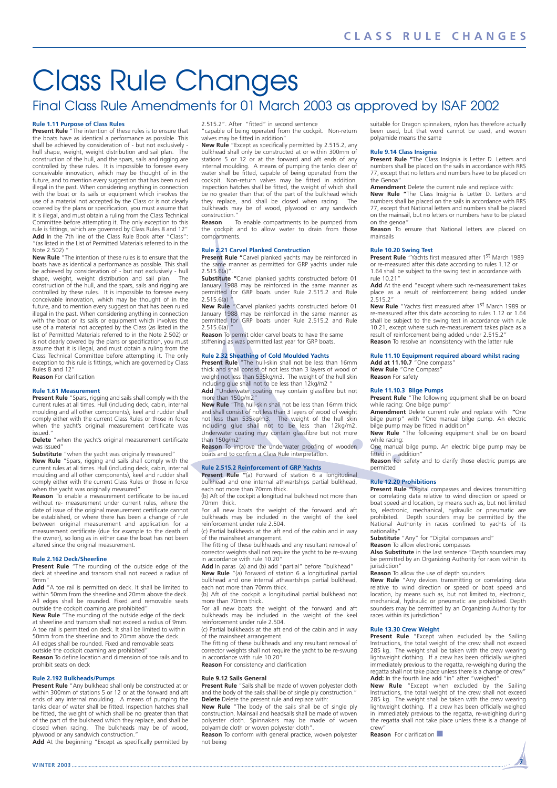## Class Rule Changes

### Final Class Rule Amendments for 01 March 2003 as approved by ISAF 2002

**Rule 1.11 Purpose of Class Rules Present Rule** "The intention of these rules is to ensure that the boats have as identical a performance as possible. This shall be achieved by consideration of - but not exclusively - hull shape, weight, weight distribution and sail plan. The construction of the hull, and the spars, sails and rigging are controlled by these rules. It is impossible to foresee every conceivable innovation, which may be thought of in the future, and to mention every suggestion that has been ruled illegal in the past. When considering anything in connection with the boat or its sails or equipment which involves the use of a material not accepted by the Class or is not clearly covered by the plans or specification, you must assume that it is illegal, and must obtain a ruling from the Class Technical Committee before attempting it. The only exception to this rule is fittings, which are governed by Class Rules 8 and 12" **Add** In the 7th line of the Class Rule Book after "Class": "(as listed in the List of Permitted Materials referred to in the Note 2.502) "

**New Rule** "The intention of these rules is to ensure that the boats have as identical a performance as possible. This shall be achieved by consideration of - but not exclusively - hull shape, weight, weight distribution and sail plan. The construction of the hull, and the spars, sails and rigging are controlled by these rules. It is impossible to foresee every conceivable innovation, which may be thought of in the future, and to mention every suggestion that has been ruled illegal in the past. When considering anything in connection with the boat or its sails or equipment which involves the use of a material not accepted by the Class (as listed in the list of Permitted Materials referred to in the Note 2.502) or is not clearly covered by the plans or specification, you must assume that it is illegal, and must obtain a ruling from the Class Technical Committee before attempting it. The only exception to this rule is fittings, which are governed by Class Rules 8 and 12" **Reason** For clarification

**Rule 1.61 Measurement Present Rule** "Spars, rigging and sails shall comply with the current rules at all times. Hull (including deck, cabin, internal moulding and all other components), keel and rudder shall comply either with the current Class Rules or those in force when the yacht's original measurement certificate was issued."

**Delete** "when the yacht's original measurement certificate was issued"

**Substitute** "when the yacht was originally measured" **New Rule** "Spars, rigging and sails shall comply with the current rules at all times. Hull (including deck, cabin, internal moulding and all other components), keel and rudder shall comply either with the current Class Rules or those in force when the yacht was originally measured

**Reason** To enable a measurement certificate to be issued without re- measurement under current rules, where the date of issue of the original measurement certificate cannot be established, or where there has been a change of rule between original measurement and application for a measurement certificate (due for example to the death of the owner), so long as in either case the boat has not been altered since the original measurement.

#### **Rule 2.162 Deck/Sheerline**

**Present Rule** "The rounding of the outside edge of the deck at sheerline and transom shall not exceed a radius of 9mm"

Add "A toe rail is permitted on deck. It shall be limited to within 50mm from the sheerline and 20mm above the deck. All edges shall be rounded. Fixed and removable seats

outside the cockpit coaming are prohibited" **New Rule** "The rounding of the outside edge of the deck at sheerline and transom shall not exceed a radius of 9mm. A toe rail is permitted on deck. It shall be limited to within

50mm from the sheerline and to 20mm above the deck. All edges shall be rounded. Fixed and removable seats

outside the cockpit coaming are prohibited" **Reason** To define location and dimension of toe rails and to

prohibit seats on deck

#### **Rule 2.192 Bulkheads/Pumps**

**Present Rule** "Any bulkhead shall only be constructed at or within 300mm of stations 5 or 12 or at the forward and aft ends of any internal moulding. A means of pumping the tanks clear of water shall be fitted. Inspection hatches shall be fitted, the weight of which shall be no greater than that of the part of the bulkhead which they replace, and shall be closed when racing. The bulkheads may be of wood, plywood or any sandwich construction.

**Add** At the beginning "Except as specifically permitted by

2.515.2". After "fitted" in second sentence

"capable of being operated from the cockpit. Non-return

valves may be fitted in addition" **New Rule** "Except as specifically permitted by 2.515.2, any bulkhead shall only be constructed at or within 300mm of stations 5 or 12 or at the forward and aft ends of any internal moulding. A means of pumping the tanks clear of water shall be fitted, capable of being operated from the cockpit. Non-return valves may be fitted in addition. Inspection hatches shall be fitted, the weight of which shall be no greater than that of the part of the bulkhead which they replace, and shall be closed when racing. The bulkheads may be of wood, plywood or any sandwich construction."

**Reason** To enable compartments to be pumped from the cockpit and to allow water to drain from those compartments.

#### **Rule 2.21 Carvel Planked Construction**

**Present Rule "**Carvel planked yachts may be reinforced in the same manner as permitted for GRP yachts under rule 2.515.6(a)".

**Substitute "**Carvel planked yachts constructed before 01 January 1988 may be reinforced in the same manner as permitted for GRP boats under Rule 2.515.2 and Rule  $2.515.6(a)$ 

**New Rule** "Carvel planked yachts constructed before 01 January 1988 may be reinforced in the same manner as permitted for GRP boats under Rule 2.515.2 and Rule  $2.5156(a)$ 

**Reason** To permit older carvel boats to have the same stiffening as was permitted last year for GRP boats.

#### **Rule 2.32 Sheathing of Cold Moulded Yachts**

**Present Rule** "The hull-skin shall not be less than 16mm thick and shall consist of not less than 3 layers of wood of weight not less than 535kg/m3. The weight of the hull skin including glue shall not to be less than 12kg/m2 "

Add<sup>"</sup>Underwater coating may contain glassfibre but not more than 150g/m2'

**New Rule** "The hull-skin shall not be less than 16mm thick and shall consist of not less than 3 layers of wood of weight not less than 535kg/m3. The weight of the hull skin including glue shall not to be less than 12kg/m2. Underwater coating may contain glassfibre but not more than 150g/m2"

**Reason** To improve the underwater proofing of wooden boats and to confirm a Class Rule interpretation.

#### **Rule 2.515.2 Reinforcement of GRP Yachts**

Present Rule "(a) Forward of station 6 a longitudinal bulkhead and one internal athwartships partial bulkhead, each not more than 70mm thick.

(b) Aft of the cockpit a longitudinal bulkhead not more than 70mm thick.

For all new boats the weight of the forward and aft bulkheads may be included in the weight of the keel reinforcement under rule 2.504.

(c) Partial bulkheads at the aft end of the cabin and in way of the mainsheet arrangement.

The fitting of these bulkheads and any resultant removal of corrector weights shall not require the yacht to be re-swung in accordance with rule 10.20"

**Add** In paras (a) and (b) add "partial" before "bulkhead" **New Rule** "(a) Forward of station 6 a longitudinal partial

bulkhead and one internal athwartships partial bulkhead, each not more than 70mm thick. (b) Aft of the cockpit a longitudinal partial bulkhead not

more than 70mm thick.

For all new boats the weight of the forward and aft bulkheads may be included in the weight of the keel reinforcement under rule 2.504. (c) Partial bulkheads at the aft end of the cabin and in way

of the mainsheet arrangement.

The fitting of these bulkheads and any resultant removal of corrector weights shall not require the yacht to be re-swung in accordance with rule 10.20"

**Reason** For consistency and clarification

#### **Rule 9.12 Sails General**

**Present Rule** "Sails shall be made of woven polyester cloth and the body of the sails shall be of single ply construction.' **Delete** Delete the present rule and replace with:

**New Rule** "The body of the sails shall be of single ply construction. Mainsail and headsails shall be made of woven polyester cloth. Spinnakers may be made of woven polyamide cloth or woven polyester cloth".

**Reason** To conform with general practice, woven polyester not being

suitable for Dragon spinnakers, nylon has therefore actually been used, but that word cannot be used, and woven polyamide means the same

#### **Rule 9.14 Class Insignia**

**Present Rule "**The Class Insignia is Letter D. Letters and numbers shall be placed on the sails in accordance with RRS 77, except that no letters and numbers have to be placed on the Genoa"

**Amendment** Delete the current rule and replace with:

**New Rule "**The Class Insignia is Letter D. Letters and numbers shall be placed on the sails in accordance with RRS 77, except that National letters and numbers shall be placed on the mainsail, but no letters or numbers have to be placed on the genoa"

**Reason** To ensure that National letters are placed on mainsails

#### **Rule 10.20 Swing Test**

**Present Rule** "Yachts first measured after 1st March 1989 or re-measured after this date according to rules 1.12 or 1.64 shall be subject to the swing test in accordance with rule 10.21"

**Add** At the end "except where such re-measurement takes place as a result of reinforcement being added under 2.515.2"

**New Rule** "Yachts first measured after 1st March 1989 or re-measured after this date according to rules 1.12 or 1.64 shall be subject to the swing test in accordance with rule 10.21, except where such re-measurement takes place as a result of reinforcement being added under 2.515.2" **Reason** To resolve an inconsistency with the latter rule

### **Rule 11.10 Equipment required aboard whilst racing Add at 11.10.7** "One compass"

**New Rule** "One Compass" **Reason** For safety

**Rule 11.10.3 Bilge Pumps Present Rule** "The following equipment shall be on board while racing: One bilge pump"

**Amendment** Delete current rule and replace with **"**One bilge pump" with "One manual bilge pump. An electric bilge pump may be fitted in addition"

**New Rule** "The following equipment shall be on board while racing: One manual bilge pump. An electric bilge pump may be

fitted in addition" **Reason** For safety and to clarify those electric pumps are permitted

**Rule 12.20 Prohibitions Present Rule "**Digital compasses and devices transmitting or correlating data relative to wind direction or speed or boat speed and location, by means such as, but not limited to, electronic, mechanical, hydraulic or pneumatic are prohibited. Depth sounders may be permitted by the National Authority in races confined to yachts of its nationality"

**Substitute** "Any" for "Digital compasses and"

**Reason** To allow electronic compasses **Also Substitute** in the last sentence "Depth sounders may be permitted by an Organizing Authority for races within its jurisdiction"

#### **Reason** To allow the use of depth sounders

**New Rule** "Any devices transmitting or correlating data relative to wind direction or speed or boat speed and location, by means such as, but not limited to, electronic, mechanical, hydraulic or pneumatic are prohibited. Depth sounders may be permitted by an Organizing Authority for races within its jurisdiction"

#### **Rule 13.30 Crew Weight**

**Present Rule** "Except when excluded by the Sailing Instructions, the total weight of the crew shall not exceed 285 kg. The weight shall be taken with the crew wearing lightweight clothing. If a crew has been officially weighed immediately previous to the regatta, re-weighing during the regatta shall not take place unless there is a change of crew" **Add:** In the fourth line add "in" after "weighed"

**New Rule** "Except when excluded by the Sailing Instructions, the total weight of the crew shall not exceed 285 kg. The weight shall be taken with the crew wearing Lightweight clothing. If a crew has been officially weighed in immediately previous to the regatta, re-weighing during the regatta shall not take place unless there is a change of crew"

**Reason** For clarification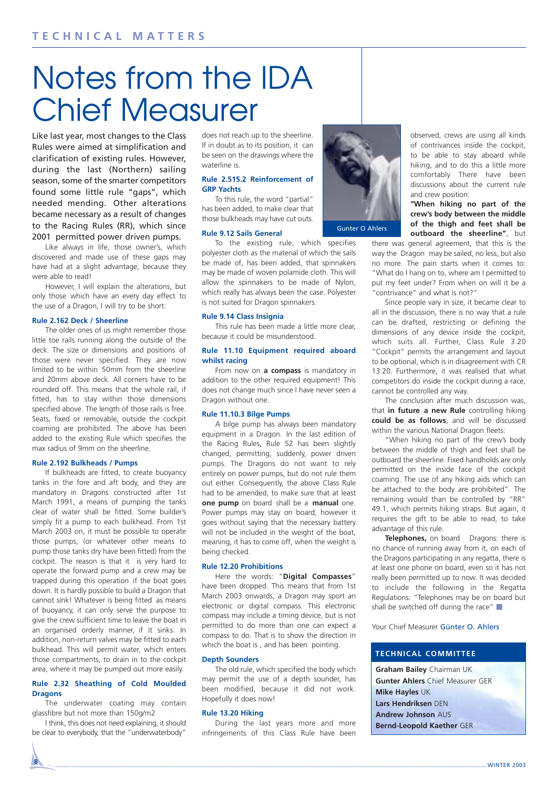## Notes from the IDA Chief Measurer

Like last year, most changes to the Class Rules were aimed at simplification and clarification of existing rules. However, during the last (Northern) sailing season, some of the smarter competitors found some little rule "gaps", which needed mending. Other alterations became necessary as a result of changes to the Racing Rules (RR), which since 2001 permitted power driven pumps.

Like always in life, those owner's, which discovered and made use of these gaps may have had at a slight advantage, because they were able to read!

However, I will explain the alterations, but only those which have an every day effect to the use of a Dragon, I will try to be short:

#### **Rule 2.162 Deck / Sheerline**

The older ones of us might remember those little toe rails running along the outside of the deck. The size or dimensions and positions of those were never specified. They are now limited to be within 50mm from the sheerline and 20mm above deck. All corners have to be rounded off. This means that the whole rail, if fitted, has to stay within those dimensions specified above. The length of those rails is free. Seats, fixed or removable, outside the cockpit coaming are prohibited. The above has been added to the existing Rule which specifies the max radius of 9mm on the sheerline.

#### **Rule 2.192 Bulkheads / Pumps**

If bulkheads are fitted, to create buoyancy tanks in the fore and aft body, and they are mandatory in Dragons constructed after 1st March 1991, a means of pumping the tanks clear of water shall be fitted. Some builder's simply fit a pump to each bulkhead. From 1st March 2003 on, it must be possible to operate those pumps, (or whatever other means to pump those tanks dry have been fitted) from the cockpit. The reason is that it is very hard to operate the forward pump and a crew may be trapped during this operation if the boat goes down. It is hardly possible to build a Dragon that cannot sink! Whatever is being fitted as means of buoyancy, it can only serve the purpose to give the crew sufficient time to leave the boat in an organised orderly manner, if it sinks. In addition, non-return valves may be fitted to each bulkhead. This will permit water, which enters those compartments, to drain in to the cockpit area, where it may be pumped out more easily.

#### **Rule 2.32 Sheathing of Cold Moulded Dragons**

The underwater coating may contain glassfibre but not more than 150g/m2

I think, this does not need explaining, it should be clear to everybody, that the "underwaterbody"

**8**

does not reach up to the sheerline. If in doubt as to its position, it can be seen on the drawings where the waterline is.

#### **Rule 2.515.2 Reinforcement of GRP Yachts**

To this rule, the word "partial" has been added, to make clear that those bulkheads may have cut outs.

#### **Rule 9.12 Sails General**

To the existing rule, which specifies polyester cloth as the material of which the sails be made of, has been added, that spinnakers may be made of woven polamide cloth. This will allow the spinnakers to be made of Nylon, which really has always been the case. Polyester is not suited for Dragon spinnakers.

#### **Rule 9.14 Class Insignia**

This rule has been made a little more clear, because it could be misunderstood.

#### **Rule 11.10 Equipment required aboard whilst racing**

From now on **a compass** is mandatory in addition to the other required equipment! This does not change much since I have never seen a Dragon without one.

#### **Rule 11.10.3 Bilge Pumps**

A bilge pump has always been mandatory equipment in a Dragon. In the last edition of the Racing Rules, Rule 52 has been slightly changed, permitting, suddenly, power driven pumps. The Dragons do not want to rely entirely on power pumps, but do not rule them out either. Consequently, the above Class Rule had to be amended, to make sure that at least **one pump** on board shall be a **manual** one. Power pumps may stay on board, however it goes without saying that the necessary battery will not be included in the weight of the boat, meaning, it has to come off, when the weight is being checked.

#### **Rule 12.20 Prohibitions**

Here the words: "**Digital Compasses**" have been dropped. This means that from 1st March 2003 onwards, a Dragon may sport an electronic or digital compass. This electronic compass may include a timing device, but is not permitted to do more than one can expect a compass to do. That is to show the direction in which the boat is, and has been pointing.

#### **Depth Sounders**

The old rule, which specified the body which may permit the use of a depth sounder, has been modified, because it did not work. Hopefully it does now!

#### **Rule 13.20 Hiking**

During the last years more and more infringements of this Class Rule have been



Gunter O Ahlers

observed, crews are using all kinds of contrivances inside the cockpit, to be able to stay aboard while hiking, and to do this a little more comfortably There have been discussions about the current rule and crew position:

#### **"When hiking no part of the crew's body between the middle of the thigh and feet shall be outboard the sheerline"**, but

there was general agreement, that this is the way the Dragon may be sailed, no less, but also no more. The pain starts when it comes to: "What do I hang on to, where am I permitted to put my feet under? From when on will it be a "contrivance" and what is not?"

Since people vary in size, it became clear to all in the discussion, there is no way that a rule can be drafted, restricting or defining the dimensions of any device inside the cockpit, which suits all. Further, Class Rule 3.20 "Cockpit" permits the arrangement and layout to be optional, which is in disagreement with CR 13.20. Furthermore, it was realised that what competitors do inside the cockpit during a race, cannot be controlled any way.

The conclusion after much discussion was, that **in future a new Rule** controlling hiking **could be as follows**, and will be discussed within the various National Dragon fleets:

"When hiking no part of the crew's body between the middle of thigh and feet shall be outboard the sheerline. Fixed handholds are only permitted on the inside face of the cockpit coaming. The use of any hiking aids which can be attached to the body are prohibited". The remaining would than be controlled by "RR" 49.1, which permits hiking straps. But again, it requires the gift to be able to read, to take advantage of this rule.

**Telephones,** on board Dragons: there is no chance of running away from it, on each of the Dragons participating in any regatta, there is at least one phone on board, even so it has not really been permitted up to now. It was decided to include the following in the Regatta Regulations: "Telephones may be on board but shall be switched off during the race"  $\blacksquare$ 

Your Chief Measurer Günter O. Ahlers

#### **TECHNICAL COMMITTEE**

**Graham Bailey** Chairman UK **Gunter Ahlers** Chief Measurer GER **Mike Hayles** UK **Lars Hendriksen** DEN **Andrew Johnson** AUS **Bernd-Leopold Kaether** GER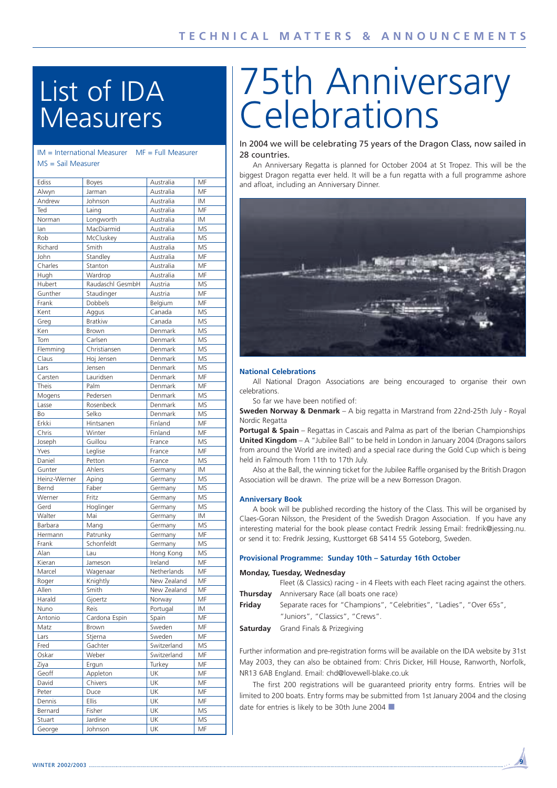## List of IDA **Measurers**

| $IM = International Measure$ | $MF = Full Measure$ |
|------------------------------|---------------------|
| $MS =$ Sail Measurer         |                     |
|                              |                     |
|                              |                     |

| Ediss        | <b>Boyes</b>     | Australia   | MF        |
|--------------|------------------|-------------|-----------|
| Alwyn        | Jarman           | Australia   | MF        |
| Andrew       | Johnson          | Australia   | ΙM        |
| Ted          | Laing            | Australia   | MF        |
| Norman       | Longworth        | Australia   | IM        |
| lan          | MacDiarmid       | Australia   | MS        |
| Rob          | McCluskey        | Australia   | MS        |
| Richard      | Smith            | Australia   | MS        |
| John         | Standley         | Australia   | MF        |
| Charles      | Stanton          | Australia   | MF        |
| Hugh         | Wardrop          | Australia   | MF        |
|              |                  |             |           |
| Hubert       | Raudaschl GesmbH | Austria     | <b>MS</b> |
| Gunther      | Staudinger       | Austria     | MF        |
| Frank        | Dobbels          | Belgium     | MF        |
| Kent         | Aggus            | Canada      | MS        |
| Greg         | <b>Bratkiw</b>   | Canada      | MS        |
| Ken          | Brown            | Denmark     | MS        |
| Tom          | Carlsen          | Denmark     | MS        |
| Flemming     | Christiansen     | Denmark     | MS        |
| Claus        | Hoj Jensen       | Denmark     | MS        |
| Lars         | Jensen           | Denmark     | MS        |
| Carsten      | Lauridsen        | Denmark     | MF        |
| Theis        | Palm             | Denmark     | MF        |
| Mogens       | Pedersen         | Denmark     | MS        |
| Lasse        | Rosenbeck        | Denmark     | <b>MS</b> |
| Bo           | Selko            | Denmark     | <b>MS</b> |
|              |                  |             | MF        |
| Erkki        | Hintsanen        | Finland     |           |
| Chris        | Winter           | Finland     | MF        |
| Joseph       | Guillou          | France      | MS        |
| Yves         | Leglise          | France      | MF        |
| Daniel       | Petton           | France      | MS        |
| Gunter       | Ahlers           | Germany     | ΙM        |
| Heinz-Werner | Aping            | Germany     | MS        |
| Bernd        | Faber            | Germany     | MS        |
| Werner       | Fritz            | Germany     | <b>MS</b> |
| Gerd         | Hoglinger        | Germany     | MS        |
| Walter       | Mai              | Germany     | IM        |
| Barbara      | Mang             | Germany     | MS        |
| Hermann      | Patrunky         | Germany     | MF        |
| Frank        | Schonfeldt       | Germany     | MS        |
|              | Lau              |             | <b>MS</b> |
| Alan         |                  | Hong Kong   |           |
| Kieran       | Jameson          | Ireland     | MF        |
| Marcel       | Wagenaar         | Netherlands | MF        |
| Roger        | Knightly         | New Zealand | MF        |
| Allen        | Smith            | New Zealand | MF        |
| Harald       | Gjoertz          | Norway      | MF        |
| Nuno         | Reis             | Portugal    | ΙM        |
| Antonio      | Cardona Espin    | Spain       | MF        |
| Matz         | Brown            | Sweden      | MF        |
| Lars         | Stjerna          | Sweden      | МF        |
| Fred         | Gachter          | Switzerland | ΜS        |
| Oskar        | Weber            | Switzerland | МF        |
| Ziya         | Ergun            | Turkey      | MF        |
|              |                  |             |           |
| Geoff        | Appleton         | UK          | МF        |
| David        | Chivers          | UK          | MF        |
| Peter        | Duce             | UK          | МF        |
| Dennis       | <b>Ellis</b>     | UK          | MF        |
| Bernard      | Fisher           | UK          | MS        |
| Stuart       | Jardine          | UK          | MS        |
| George       | Johnson          | UK          | MF        |

# 75th Anniversary **Celebrations**

In 2004 we will be celebrating 75 years of the Dragon Class, now sailed in 28 countries.

An Anniversary Regatta is planned for October 2004 at St Tropez. This will be the biggest Dragon regatta ever held. It will be a fun regatta with a full programme ashore and afloat, including an Anniversary Dinner.



#### **National Celebrations**

All National Dragon Associations are being encouraged to organise their own celebrations.

So far we have been notified of:

**Sweden Norway & Denmark** – A big regatta in Marstrand from 22nd-25th July - Royal Nordic Regatta

**Portugal & Spain** – Regattas in Cascais and Palma as part of the Iberian Championships **United Kingdom** – A "Jubilee Ball" to be held in London in January 2004 (Dragons sailors from around the World are invited) and a special race during the Gold Cup which is being held in Falmouth from 11th to 17th July.

Also at the Ball, the winning ticket for the Jubilee Raffle organised by the British Dragon Association will be drawn. The prize will be a new Borresson Dragon.

#### **Anniversary Book**

A book will be published recording the history of the Class. This will be organised by Claes-Goran Nilsson, the President of the Swedish Dragon Association. If you have any interesting material for the book please contact Fredrik Jessing Email: fredrik@jessing.nu. or send it to: Fredrik Jessing, Kusttorget 6B S414 55 Goteborg, Sweden.

#### **Provisional Programme: Sunday 10th – Saturday 16th October**

#### **Monday, Tuesday, Wednesday**

Fleet (& Classics) racing - in 4 Fleets with each Fleet racing against the others. **Thursday** Anniversary Race (all boats one race)

- **Friday** Separate races for "Champions", "Celebrities", "Ladies", "Over 65s", "Juniors", "Classics", "Crews".
- **Saturday** Grand Finals & Prizegiving

Further information and pre-registration forms will be available on the IDA website by 31st May 2003, they can also be obtained from: Chris Dicker, Hill House, Ranworth, Norfolk, NR13 6AB England. Email: chd@lovewell-blake.co.uk

The first 200 registrations will be guaranteed priority entry forms. Entries will be limited to 200 boats. Entry forms may be submitted from 1st January 2004 and the closing date for entries is likely to be 30th June 2004 ■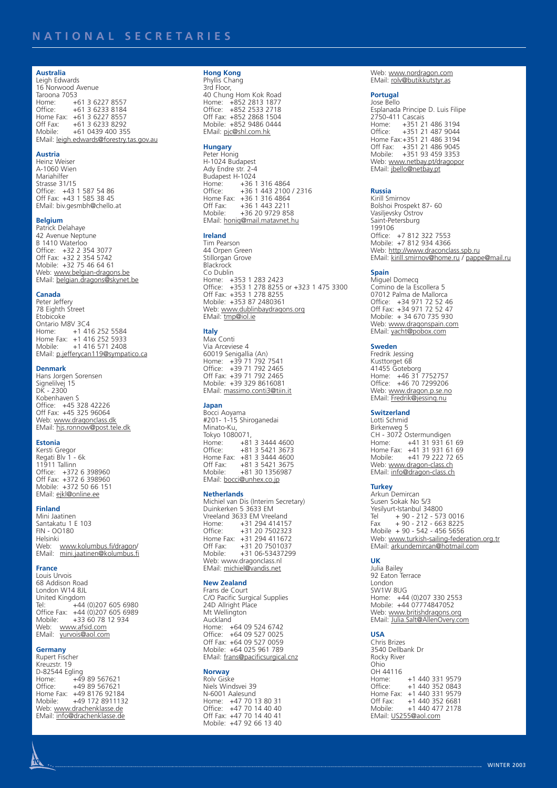#### **Australia**

Leigh Edwards 16 Norwood Avenue Taroona 7053<br>Home: + Home: +61 3 6227 8557<br>Office: +61 3 6233 8184 +61 3 6233 8184 Home Fax: +61 3 6227 8557 Off Fax: +61 3 6233 8292 Mobile: +61 0439 400 355 EMail: leigh.edwards@forestry.tas.gov.au

#### **Austria**

Heinz Weiser A-1060 Wien Mariahilfer Strasse 31/15 Office: +43 1 587 54 86 Off Fax: +43 1 585 38 45 EMail: biv.gesmbh@chello.at

#### **Belgium**

Patrick Delahaye 42 Avenue Neptune B 1410 Waterloo Office: +32 2 354 3077 Off Fax: +32 2 354 5742 Mobile: +32 75 46 64 61 Web: www.belgian-dragons.be EMail: belgian.dragons@skynet.be

#### **Canada**

Peter Jeffery 78 Eighth Street Etobicoke Ontario M8V 3C4 Home: +1 416 252 5584 Home Fax: +1 416 252 5933 Mobile: +1 416 571 2408 EMail: p.jefferycan119@sympatico.ca

#### **Denmark**

Hans Jorgen Sorensen Signelilvej 15 DK - 2300 Kobenhaven S Office: +45 328 42226 Off Fax: +45 325 96064 Web: <u>www.dragonclass.dk</u><br>EMail: <u>hjs.ronnow@post.tele.dk</u>

#### **Estonia**

Kersti Gregor Regati Blv 1 - 6k 11911 Tallinn Office: +372 6 398960 Off Fax: +372 6 398960 Mobile: +372 50 66 151 EMail: ejkl@online.ee

#### **Finland**

Mini Jaatinen Santakatu 1 E 103 FIN - OO180 Helsinki Web: <u>www.kolumbus.fi/dragon</u>/<br>EMail: <u>mini.jaatinen@kolumbus.fi</u>

#### **France**

Louis Urvois 68 Addison Road London W14 8JL United Kingdom Tel: +44 (0)207 605 6980 Office Fax: +44 (0)207 605 6989<br>Mobile: +33 60 78 12 934 Mobile: +33 60 78 12 934 Web: <u>www.afsid.com</u><br>EMail: <u>yurvois@aol.com</u>

#### **Germany**

Rupert Fischer Kreuzstr. 19 D-82544 Egling Home: +49 89 567621 Office: +49 89 567621 Home Fax: +49 8176 92184<br>Mobile: +49 172 891113 Mobile: +49 172 8911132 Web: www.drachenklasse.de EMail: info@drachenklasse.de

### **Hong Kong**

Phyllis Chang 3rd Floor, 40 Chung Hom Kok Road Home: +852 2813 1877 Office: +852 2533 2718 Off Fax: +852 2868 1504 Mobile: +852 9486 0444 EMail: pjc@shl.com.hk

### **Hungary**

Peter Honig H-1024 Budapest Ady Endre str. 2-4 Budapest H-1024<br>Home: +36 Home: +36 1 316 4864<br>Office: +36 1 443 2100 Office: +36 1 443 2100 / 2316 Home Fax: +36 1 316 4864<br>Off Fax: +36 1 443 2211 Off Fax: +36 1 443 2211<br>Mobile: +36 20 9729 85 Mobile: +36 20 9729 858 EMail: honig@mail.matavnet.hu

#### **Ireland** Tim Pearson

44 Orpen Green Stillorgan Grove **Blackrock** Co Dublin Home: +353 1 283 2423 Office: +353 1 278 8255 or +323 1 475 3300 Off Fax: +353 1 278 8255 Mobile: +353 87 2480361 Web: www.dublinbaydragons.org EMail: tmp@iol.ie

#### **Italy**

Max Conti Via Arceviese 4 60019 Senigallia (An) Home: +39 71 792 7541 Office: +39 71 792 2465 Off Fax: +39 71 792 2465 Mobile: +39 329 8616081 EMail: massimo.conti3@tiin.it

#### **Japan**

Bocci Aoyama #201- 1-15 Shiroganedai Minato-Ku, Tokyo 1080071,<br>Home: +81 3 3444 4600 Home: +81 3 3444 4600 Office: +81 3 5421 3673 Home Fax: +81 3 3444 4600 Off Fax: +81 3 5421 3675<br>Mobile: +81 30 1356987 Mobile: +81 30 1356987 EMail: bocci@unhex.co.jp

#### **Netherlands**

Michiel van Dis (Interim Secretary) Duinkerken 5 3633 EM Vreeland 3633 EM Vreeland Home: +31 294 414157 Office: +31 20 7502323 Home Fax: +31 294 411672 Off Fax: +31 20 7501037<br>Mobile: +31 06-5343729 Mobile: +31 06-53437299 Web: www.dragonclass.nl EMail: michiel@vandis.net

#### **New Zealand**

Frans de Court C/O Pacific Surgical Supplies 24D Allright Place Mt Wellington Auckland Home: +64 09 524 6742 Office: +64 09 527 0025 Off Fax: +64 09 527 0059 Mobile: +64 025 961 789 EMail: frans@pacificsurgical.cnz

#### **Norway** Rolv Giske

Niels Windsvei 39 N-6001 Aalesund Home: +47 70 13 80 31 Office: +47 70 14 40 40 Off Fax: +47 70 14 40 41 Mobile: +47 92 66 13 40 Web: www.nordragon.com EMail: rolv@butikkutstyr.as

#### **Portugal** Jose Bello

Esplanada Principe D. Luis Filipe 2750-411 Cascais Home: +351 21 486 3194 Office: +351 21 487 9044 Home Fax:+351 21 486 3194 Off Fax: +351 21 486 9045<br>Mobile: +351 93 459 3353 Mobile: +351 93 459 3353 Web: <u>www.netbay.pt/dragopor</u><br>EMail: j<u>bello@netbay.pt</u>

#### **Russia**

Kirill Smirnov Bolshoi Prospekt 87- 60 Vasiljevsky Ostrov Saint-Petersburg 199106 Office: +7 812 322 7553 Mobile: +7 812 934 4366 web: http://www.draconclass.spb.ru EMail: kirill.smirnov@home.ru / pappe@mail.ru

#### **Spain**

Miguel Domecq Comino de la Escollera 5 07012 Palma de Mallorca Office: +34 971 72 52 46 Off Fax: +34 971 72 52 47 Mobile: + 34 670 735 930 Web: www.dragonspain.com EMail: yacht@pobox.com

#### **Sweden**

Fredrik Jessing Kusttorget 6R 41455 Goteborg Home: +46 31 7752757 Office: +46 70 7299206 Web: www.dragon.p.se.no EMail: Fredrik@jessing.nu

#### **Switzerland**

Lotti Schmid Birkenweg 5 CH - 3072 Ostermundigen Home: +41 31 931 61 69 Home Fax: +41 31 931 61 69 Mobile: +41 79 222 72 65 Web: www.dragon-class.ch EMail: info@dragon-class.ch

#### **Turkey**

Arkun Demircan Susen Sokak No 5/3 Yesilyurt-Istanbul 34800<br>Tel + 90 - 212 - 57 Tel + 90 - 212 - 573 0016 Fax + 90 - 212 - 663 8225 Mobile + 90 - 542 - 456 5656 Web: www.turkish-sailing-federation.org.tr EMail: arkundemircan@hotmail.com

#### **UK**

Julia Bailey 92 Eaton Terrace London SW1W 8UG Home: +44 (0)207 330 2553 Mobile: +44 07774847052 Web: www.britishdragons.org EMail: Julia.Salt@AllenOvery.com

#### **USA**

Chris Brizes 3540 Dellbank Dr Rocky River Ohio OH 44116 +1 440 331 9579 Office: +1 440 352 0843 Home Fax: +1 440 331 9579 Off Fax: +1 440 352 6681<br>Mobile: +1 440 477 2178 Mobile: +1 440 477 2178 EMail: US255@aol.com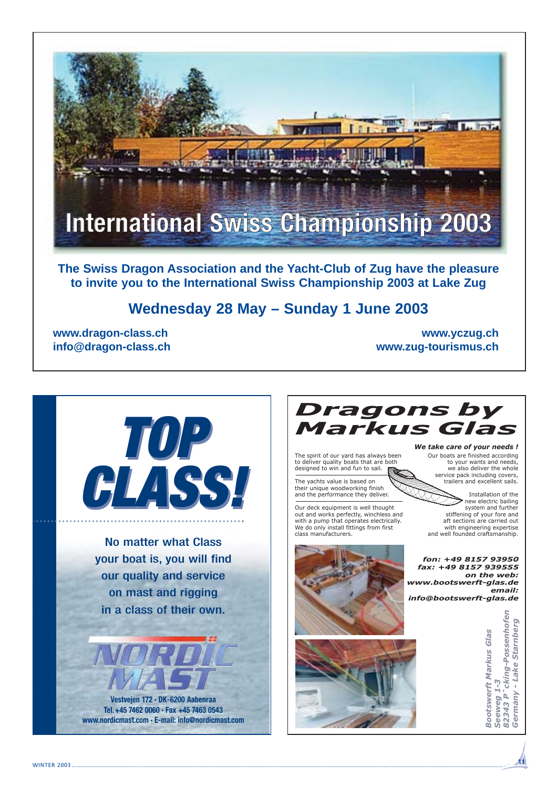

**Wednesday 28 May – Sunday 1 June 2003**

**www.dragon-class.ch www.yczug.ch info@dragon-class.ch www.zug-tourismus.ch**



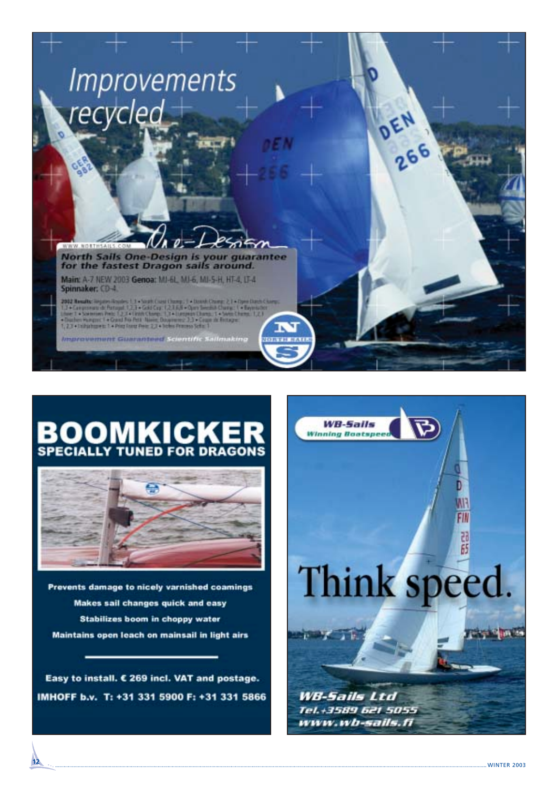

# **BOOMKICKER**



Prevents damage to nicely varnished coamings Makes sail changes quick and easy **Stabilizes boom in choppy water** Maintains open leach on mainsail in light airs

Easy to install. € 269 incl. VAT and postage. IMHOFF b.v. T: +31 331 5900 F: +31 331 5866

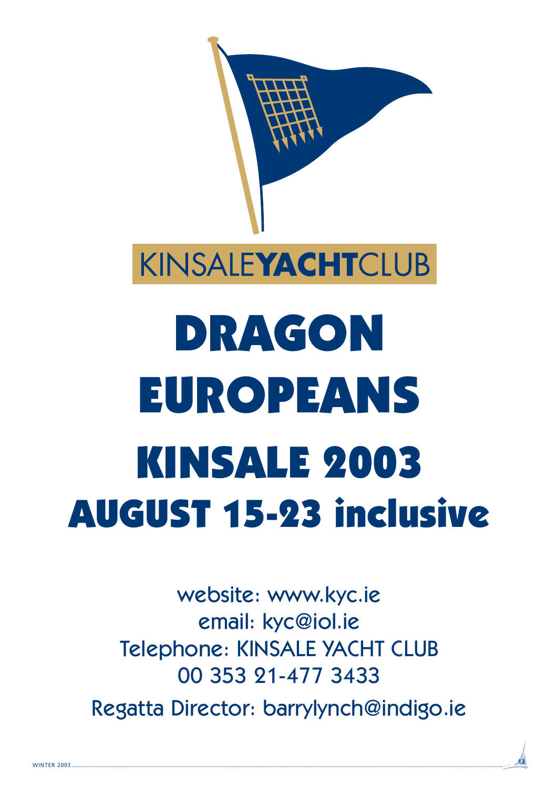

website: www.kyc.ie email: kyc@iol.ie Telephone: KINSALE YACHT CLUB 00 353 21-477 3433 Regatta Director: barrylynch@indigo.ie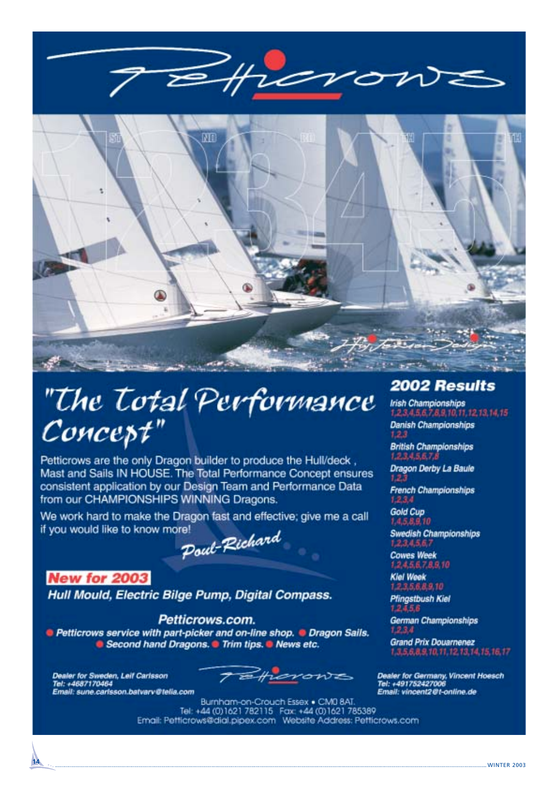

## "The Total Performance Concept"

Petticrows are the only Dragon builder to produce the Hull/deck, Mast and Sails IN HOUSE. The Total Performance Concept ensures consistent application by our Design Team and Performance Data from our CHAMPIONSHIPS WINNING Dragons.

We work hard to make the Dragon fast and effective; give me a call if you would like to know more!

Poul-Richard

### **New for 2003**

Hull Mould, Electric Bilge Pump, Digital Compass.

Petticrows.com. **•** Petticrows service with part-picker and on-line shop. • Dragon Sails. G Second hand Dragons. Trim tips. G News etc.

Dealer for Sweden, Leif Carlsson<br>Tel: +4687170464 Email: sune.carisson.batvarv@tella.com

monte

Burnham-on-Crouch Essex . CM0 8AT. Tel: +44 (0)1621 782115 Fax: +44 (0)1621 785389 Email: Petticrows@dial.pipex.com Website Address: Petticrows.com

### 2002 Results

**Irish Championships** 1,2,3,4,5,6,7,8,9,70,77,12,13,14,15

**Danish Championships**  $123$ 

**British Championships**  $1.2.3, 4.5, 6.7,$ 

Dragon Derby La Baule  $1.2.3$ 

**French Championships** 1.2.3.4

Gold Cup 1.4.5.8.9.10

Swedish Championships 1,2,3,4,5,6,1

**Cowes Week** 12456789.10

**Kiel Week** 123,5,6,8,9,10

**Pfingstbush Kiel** 1245.8

German Championships

**Grand Prix Douarnenez** 1.3,5,6,8,9,10,11,12,13,14,15,16,17

Dealer for Germany, Vincent Hoesch<br>Tel: +491752427006<br>Email: vincent2@t-online.de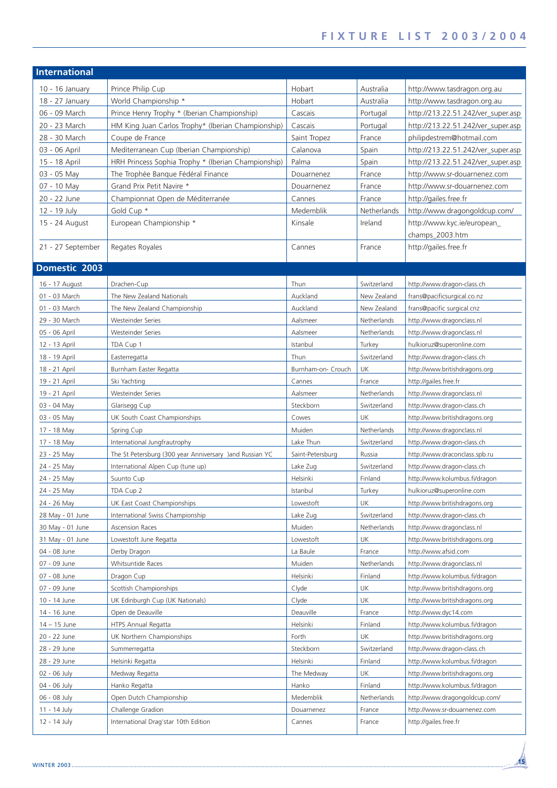| <b>International</b> |                                                         |                    |             |                                    |
|----------------------|---------------------------------------------------------|--------------------|-------------|------------------------------------|
| $10 - 16$ January    | Prince Philip Cup                                       | Hobart             | Australia   | http://www.tasdragon.org.au        |
| 18 - 27 January      | World Championship *                                    | Hobart             | Australia   | http://www.tasdragon.org.au        |
| 06 - 09 March        | Prince Henry Trophy * (Iberian Championship)            | Cascais            | Portugal    | http://213.22.51.242/ver_super.asp |
| 20 - 23 March        | HM King Juan Carlos Trophy* (Iberian Championship)      | Cascais            | Portugal    | http://213.22.51.242/ver_super.asp |
| 28 - 30 March        | Coupe de France                                         | Saint Tropez       | France      | philipdestrem@hotmail.com          |
| 03 - 06 April        | Mediterranean Cup (Iberian Championship)                | Calanova           | Spain       | http://213.22.51.242/ver_super.asp |
| 15 - 18 April        | HRH Princess Sophia Trophy * (Iberian Championship)     | Palma              | Spain       | http://213.22.51.242/ver_super.asp |
| 03 - 05 May          | The Trophée Banque Fédéral Finance                      | Douarnenez         | France      | http://www.sr-douarnenez.com       |
| 07 - 10 May          | Grand Prix Petit Navire *                               | Douarnenez         | France      | http://www.sr-douarnenez.com       |
| 20 - 22 June         | Championnat Open de Méditerranée                        | Cannes             | France      | http://gailes.free.fr              |
| 12 - 19 July         | Gold Cup *                                              | Medemblik          | Netherlands | http://www.dragongoldcup.com/      |
| 15 - 24 August       | European Championship *                                 | Kinsale            | Ireland     | http://www.kyc.ie/european_        |
|                      |                                                         |                    |             | champs_2003.htm                    |
| 21 - 27 September    | Regates Royales                                         | Cannes             | France      | http://gailes.free.fr              |
|                      |                                                         |                    |             |                                    |
| Domestic 2003        |                                                         |                    |             |                                    |
| 16 - 17 August       | Drachen-Cup                                             | Thun               | Switzerland | http://www.dragon-class.ch         |
| 01 - 03 March        | The New Zealand Nationals                               | Auckland           | New Zealand | frans@pacificsurgical.co.nz        |
| 01 - 03 March        | The New Zealand Championship                            | Auckland           | New Zealand | frans@pacific surgical.cnz         |
| 29 - 30 March        | <b>Westeinder Series</b>                                | Aalsmeer           | Netherlands | http://www.dragonclass.nl          |
| 05 - 06 April        | <b>Westeinder Series</b>                                | Aalsmeer           | Netherlands | http://www.dragonclass.nl          |
| 12 - 13 April        | TDA Cup 1                                               | Istanbul           | Turkey      | hulkioruz@superonline.com          |
| 18 - 19 April        | Easterregatta                                           | Thun               | Switzerland | http://www.dragon-class.ch         |
| 18 - 21 April        | Burnham Easter Regatta                                  | Burnham-on- Crouch | UK          | http://www.britishdragons.org      |
| 19 - 21 April        | Ski Yachting                                            | Cannes             | France      | http://gailes.free.fr              |
| 19 - 21 April        | Westeinder Series                                       | Aalsmeer           | Netherlands | http://www.dragonclass.nl          |
| 03 - 04 May          | Glarisegg Cup                                           | Steckborn          | Switzerland | http://www.dragon-class.ch         |
| 03 - 05 May          | UK South Coast Championships                            | Cowes              | UK          | http://www.britishdragons.org      |
| 17 - 18 May          | Spring Cup                                              | Muiden             | Netherlands | http://www.dragonclass.nl          |
| 17 - 18 May          | International Jungfrautrophy                            | Lake Thun          | Switzerland | http://www.dragon-class.ch         |
| 23 - 25 May          | The St Petersburg (300 year Anniversary )and Russian YC | Saint-Petersburg   | Russia      | http://www.draconclass.spb.ru      |
| 24 - 25 May          | International Alpen Cup (tune up)                       | Lake Zug           | Switzerland | http://www.dragon-class.ch         |
| 24 - 25 May          | Suunto Cup                                              | Helsinki           | Finland     | http://www.kolumbus.fi/dragon      |
| 24 - 25 May          | TDA Cup 2                                               | Istanbul           | Turkey      | hulkioruz@superonline.com          |
| 24 - 26 May          | UK East Coast Championships                             | Lowestoft          | UK          | http://www.britishdragons.org      |
| 28 May - 01 June     | International Swiss Championship                        | Lake Zug           | Switzerland | http://www.dragon-class.ch         |
| 30 May - 01 June     | <b>Ascension Races</b>                                  | Muiden             | Netherlands | http://www.dragonclass.nl          |
| 31 May - 01 June     | Lowestoft June Regatta                                  | Lowestoft          | UK          | http://www.britishdragons.org      |
| 04 - 08 June         | Derby Dragon                                            | La Baule           | France      | http://www.afsid.com               |
| 07 - 09 June         | Whitsuntide Races                                       | Muiden             | Netherlands | http://www.dragonclass.nl          |
| 07 - 08 June         | Dragon Cup                                              | Helsinki           | Finland     | http://www.kolumbus.fi/dragon      |
| 07 - 09 June         | Scottish Championships                                  | Clyde              | UK          | http://www.britishdragons.org      |
| 10 - 14 June         | UK Edinburgh Cup (UK Nationals)                         | Clyde              | UK          | http://www.britishdragons.org      |
| 14 - 16 June         | Open de Deauville                                       | Deauville          | France      | http://www.dyc14.com               |
| 14 - 15 June         | HTPS Annual Regatta                                     | Helsinki           | Finland     | http://www.kolumbus.fi/dragon      |
| 20 - 22 June         | UK Northern Championships                               | Forth              | UK          | http://www.britishdragons.org      |
| 28 - 29 June         | Summerregatta                                           | Steckborn          | Switzerland | http://www.dragon-class.ch         |
| 28 - 29 June         | Helsinki Regatta                                        | Helsinki           | Finland     | http://www.kolumbus.fi/dragon      |
| 02 - 06 July         | Medway Regatta                                          | The Medway         | UK          | http://www.britishdragons.org      |
| 04 - 06 July         | Hanko Regatta                                           | Hanko              | Finland     | http://www.kolumbus.fi/dragon      |
| 06 - 08 July         | Open Dutch Championship                                 | Medemblik          | Netherlands | http://www.dragongoldcup.com/      |
| 11 - 14 July         | Challenge Gradion                                       | Douarnenez         | France      | http://www.sr-douarnenez.com       |
| 12 - 14 July         | International Drag'star 10th Edition                    | Cannes             | France      | http://gailes.free.fr              |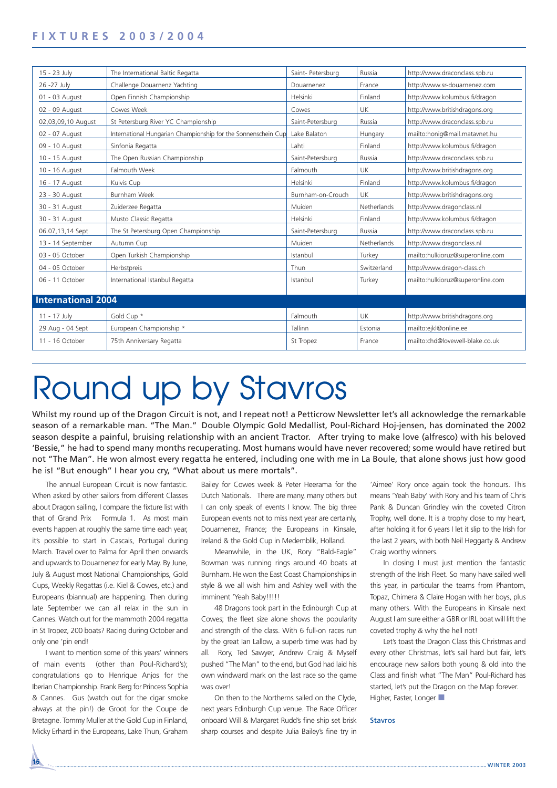| 15 - 23 July              | The International Baltic Regatta                              | Saint- Petersburg | Russia      | http://www.draconclass.spb.ru    |
|---------------------------|---------------------------------------------------------------|-------------------|-------------|----------------------------------|
| 26 - 27 July              | Challenge Douarnenz Yachting                                  | Douarnenez        | France      | http://www.sr-douarnenez.com     |
| 01 - 03 August            | Open Finnish Championship                                     | Helsinki          | Finland     | http://www.kolumbus.fi/dragon    |
| 02 - 09 August            | Cowes Week                                                    | Cowes             | <b>UK</b>   | http://www.britishdragons.org    |
| 02,03,09,10 August        | St Petersburg River YC Championship                           | Saint-Petersburg  | Russia      | http://www.draconclass.spb.ru    |
| 02 - 07 August            | International Hungarian Championship for the Sonnenschein Cup | Lake Balaton      | Hungary     | mailto:honig@mail.matavnet.hu    |
| 09 - 10 August            | Sinfonia Regatta                                              | Lahti             | Finland     | http://www.kolumbus.fi/dragon    |
| 10 - 15 August            | The Open Russian Championship                                 | Saint-Petersburg  | Russia      | http://www.draconclass.spb.ru    |
| 10 - 16 August            | Falmouth Week                                                 | Falmouth          | <b>UK</b>   | http://www.britishdragons.org    |
| 16 - 17 August            | Kuivis Cup                                                    | Helsinki          | Finland     | http://www.kolumbus.fi/dragon    |
| 23 - 30 August            | Burnham Week                                                  | Burnham-on-Crouch | <b>UK</b>   | http://www.britishdragons.org    |
| 30 - 31 August            | Zuiderzee Regatta                                             | Muiden            | Netherlands | http://www.dragonclass.nl        |
| 30 - 31 August            | Musto Classic Regatta                                         | Helsinki          | Finland     | http://www.kolumbus.fi/dragon    |
| 06.07,13,14 Sept          | The St Petersburg Open Championship                           | Saint-Petersburg  | Russia      | http://www.draconclass.spb.ru    |
| 13 - 14 September         | Autumn Cup                                                    | Muiden            | Netherlands | http://www.dragonclass.nl        |
| 03 - 05 October           | Open Turkish Championship                                     | Istanbul          | Turkey      | mailto:hulkioruz@superonline.com |
| 04 - 05 October           | Herbstpreis                                                   | Thun              | Switzerland | http://www.dragon-class.ch       |
| 06 - 11 October           | International Istanbul Regatta                                | Istanbul          | Turkey      | mailto:hulkioruz@superonline.com |
|                           |                                                               |                   |             |                                  |
| <b>International 2004</b> |                                                               |                   |             |                                  |
| 11 - 17 July              | Gold Cup *                                                    | Falmouth          | <b>UK</b>   | http://www.britishdragons.org    |
| 29 Aug - 04 Sept          | European Championship *                                       | Tallinn           | Estonia     | mailto:ejkl@online.ee            |
| 11 - 16 October           | 75th Anniversary Regatta                                      | St Tropez         | France      | mailto:chd@lovewell-blake.co.uk  |
|                           |                                                               |                   |             |                                  |

# Round up by Stavros

Whilst my round up of the Dragon Circuit is not, and I repeat not! a Petticrow Newsletter let's all acknowledge the remarkable season of a remarkable man. "The Man." Double Olympic Gold Medallist, Poul-Richard Hoj-jensen, has dominated the 2002 season despite a painful, bruising relationship with an ancient Tractor. After trying to make love (alfresco) with his beloved 'Bessie," he had to spend many months recuperating. Most humans would have never recovered; some would have retired but not "The Man". He won almost every regatta he entered, including one with me in La Boule, that alone shows just how good he is! "But enough" I hear you cry, "What about us mere mortals".

The annual European Circuit is now fantastic. When asked by other sailors from different Classes about Dragon sailing, I compare the fixture list with that of Grand Prix Formula 1. As most main events happen at roughly the same time each year, it's possible to start in Cascais, Portugal during March. Travel over to Palma for April then onwards and upwards to Douarnenez for early May. By June, July & August most National Championships, Gold Cups, Weekly Regattas (i.e. Kiel & Cowes, etc.) and Europeans (biannual) are happening. Then during late September we can all relax in the sun in Cannes. Watch out for the mammoth 2004 regatta in St Tropez, 200 boats? Racing during October and only one 'pin end!

I want to mention some of this years' winners of main events (other than Poul-Richard's); congratulations go to Henrique Anjos for the Iberian Championship. Frank Berg for Princess Sophia & Cannes. Gus (watch out for the cigar smoke always at the pin!) de Groot for the Coupe de Bretagne. Tommy Muller at the Gold Cup in Finland, Micky Erhard in the Europeans, Lake Thun, Graham Bailey for Cowes week & Peter Heerama for the Dutch Nationals. There are many, many others but I can only speak of events I know. The big three European events not to miss next year are certainly, Douarnenez, France; the Europeans in Kinsale, Ireland & the Gold Cup in Medemblik, Holland.

Meanwhile, in the UK, Rory "Bald-Eagle" Bowman was running rings around 40 boats at Burnham. He won the East Coast Championships in style & we all wish him and Ashley well with the imminent 'Yeah Baby!!!!!

48 Dragons took part in the Edinburgh Cup at Cowes; the fleet size alone shows the popularity and strength of the class. With 6 full-on races run by the great Ian Lallow, a superb time was had by all. Rory, Ted Sawyer, Andrew Craig & Myself pushed "The Man" to the end, but God had laid his own windward mark on the last race so the game was over!

On then to the Northerns sailed on the Clyde, next years Edinburgh Cup venue. The Race Officer onboard Will & Margaret Rudd's fine ship set brisk sharp courses and despite Julia Bailey's fine try in 'Aimee' Rory once again took the honours. This means 'Yeah Baby' with Rory and his team of Chris Pank & Duncan Grindley win the coveted Citron Trophy, well done. It is a trophy close to my heart, after holding it for 6 years I let it slip to the Irish for the last 2 years, with both Neil Heggarty & Andrew Craig worthy winners.

In closing I must just mention the fantastic strength of the Irish Fleet. So many have sailed well this year, in particular the teams from Phantom, Topaz, Chimera & Claire Hogan with her boys, plus many others. With the Europeans in Kinsale next August I am sure either a GBR or IRL boat will lift the coveted trophy & why the hell not!

Let's toast the Dragon Class this Christmas and every other Christmas, let's sail hard but fair, let's encourage new sailors both young & old into the Class and finish what "The Man" Poul-Richard has started, let's put the Dragon on the Map forever. Higher, Faster, Longer

#### Stavros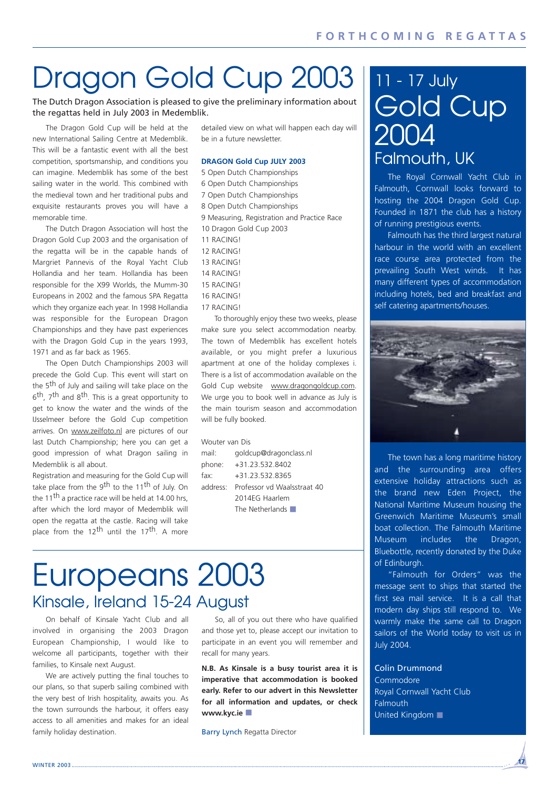## Dragon Gold Cup 2003

The Dutch Dragon Association is pleased to give the preliminary information about the regattas held in July 2003 in Medemblik.

The Dragon Gold Cup will be held at the new International Sailing Centre at Medemblik. This will be a fantastic event with all the best competition, sportsmanship, and conditions you can imagine. Medemblik has some of the best sailing water in the world. This combined with the medieval town and her traditional pubs and exquisite restaurants proves you will have a memorable time.

The Dutch Dragon Association will host the Dragon Gold Cup 2003 and the organisation of the regatta will be in the capable hands of Margriet Pannevis of the Royal Yacht Club Hollandia and her team. Hollandia has been responsible for the X99 Worlds, the Mumm-30 Europeans in 2002 and the famous SPA Regatta which they organize each year. In 1998 Hollandia was responsible for the European Dragon Championships and they have past experiences with the Dragon Gold Cup in the years 1993, 1971 and as far back as 1965.

The Open Dutch Championships 2003 will precede the Gold Cup. This event will start on the 5<sup>th</sup> of July and sailing will take place on the 6th, 7th and 8th. This is a great opportunity to get to know the water and the winds of the IJsselmeer before the Gold Cup competition arrives. On www.zeilfoto.nl are pictures of our last Dutch Championship; here you can get a good impression of what Dragon sailing in Medemblik is all about.

Registration and measuring for the Gold Cup will take place from the 9<sup>th</sup> to the 11<sup>th</sup> of July. On the 11<sup>th</sup> a practice race will be held at 14.00 hrs, after which the lord mayor of Medemblik will open the regatta at the castle. Racing will take place from the 12<sup>th</sup> until the 17<sup>th</sup>. A more detailed view on what will happen each day will be in a future newsletter.

#### **DRAGON Gold Cup JULY 2003**

5 Open Dutch Championships 6 Open Dutch Championships 7 Open Dutch Championships 8 Open Dutch Championships 9 Measuring, Registration and Practice Race 10 Dragon Gold Cup 2003 11 RACING! 12 RACING!

- 13 RACING!
- 14 RACING!
- 15 RACING!
- 16 RACING!
- 17 RACING!

To thoroughly enjoy these two weeks, please make sure you select accommodation nearby. The town of Medemblik has excellent hotels available, or you might prefer a luxurious apartment at one of the holiday complexes i. There is a list of accommodation available on the Gold Cup website www.dragongoldcup.com. We urge you to book well in advance as July is the main tourism season and accommodation will be fully booked.

#### Wouter van Dis

mail: goldcup@dragonclass.nl phone: +31.23.532.8402 fax: +31.23.532.8365 address: Professor vd Waalsstraat 40 2014EG Haarlem The Netherlands

## Europeans 2003 Kinsale, Ireland 15-24 August

On behalf of Kinsale Yacht Club and all involved in organising the 2003 Dragon European Championship, I would like to welcome all participants, together with their families, to Kinsale next August.

We are actively putting the final touches to our plans, so that superb sailing combined with the very best of Irish hospitality, awaits you. As the town surrounds the harbour, it offers easy access to all amenities and makes for an ideal family holiday destination.

So, all of you out there who have qualified and those yet to, please accept our invitation to participate in an event you will remember and recall for many years.

**N.B. As Kinsale is a busy tourist area it is imperative that accommodation is booked early. Refer to our advert in this Newsletter for all information and updates, or check www.kyc.ie** ■

Barry Lynch Regatta Director

## 11 - 17 July Gold Cup 2004 Falmouth, UK

The Royal Cornwall Yacht Club in Falmouth, Cornwall looks forward to hosting the 2004 Dragon Gold Cup. Founded in 1871 the club has a history of running prestigious events.

Falmouth has the third largest natural harbour in the world with an excellent race course area protected from the prevailing South West winds. It has many different types of accommodation including hotels, bed and breakfast and self catering apartments/houses.



The town has a long maritime history and the surrounding area offers extensive holiday attractions such as the brand new Eden Project, the National Maritime Museum housing the Greenwich Maritime Museum's small boat collection. The Falmouth Maritime Museum includes the Dragon, Bluebottle, recently donated by the Duke of Edinburgh.

"Falmouth for Orders" was the message sent to ships that started the first sea mail service. It is a call that modern day ships still respond to. We warmly make the same call to Dragon sailors of the World today to visit us in July 2004.

Colin Drummond Commodore Royal Cornwall Yacht Club Falmouth United Kingdom ■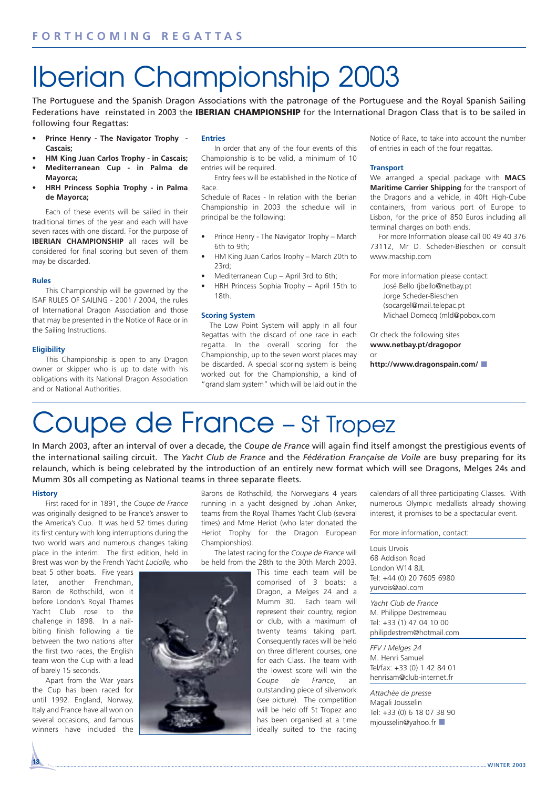## Iberian Championship 2003

The Portuguese and the Spanish Dragon Associations with the patronage of the Portuguese and the Royal Spanish Sailing Federations have reinstated in 2003 the **IBERIAN CHAMPIONSHIP** for the International Dragon Class that is to be sailed in following four Regattas:

- **Prince Henry The Navigator Trophy - Cascais;**
- **HM King Juan Carlos Trophy in Cascais;** • **Mediterranean Cup - in Palma de**
- **Mayorca;** • **HRH Princess Sophia Trophy - in Palma**
- **de Mayorca;**

Each of these events will be sailed in their traditional times of the year and each will have seven races with one discard. For the purpose of **IBERIAN CHAMPIONSHIP** all races will be considered for final scoring but seven of them may be discarded.

#### **Rules**

This Championship will be governed by the ISAF RULES OF SAILING - 2001 / 2004, the rules of International Dragon Association and those that may be presented in the Notice of Race or in the Sailing Instructions.

#### **Eligibility**

This Championship is open to any Dragon owner or skipper who is up to date with his obligations with its National Dragon Association and or National Authorities.

#### **Entries**

In order that any of the four events of this Championship is to be valid, a minimum of 10 entries will be required.

Entry fees will be established in the Notice of Race.

Schedule of Races - In relation with the Iberian Championship in 2003 the schedule will in principal be the following:

- Prince Henry The Navigator Trophy March 6th to 9th;
- HM King Juan Carlos Trophy March 20th to 23rd;
- Mediterranean Cup April 3rd to 6th;
- HRH Princess Sophia Trophy April 15th to 18th.

#### **Scoring System**

The Low Point System will apply in all four Regattas with the discard of one race in each regatta. In the overall scoring for the Championship, up to the seven worst places may be discarded. A special scoring system is being worked out for the Championship, a kind of "grand slam system" which will be laid out in the Notice of Race, to take into account the number of entries in each of the four regattas.

#### **Transport**

We arranged a special package with **MACS Maritime Carrier Shipping** for the transport of the Dragons and a vehicle, in 40ft High-Cube containers, from various port of Europe to Lisbon, for the price of 850 Euros including all terminal charges on both ends.

For more Information please call 00 49 40 376 73112, Mr D. Scheder-Bieschen or consult www.macship.com

For more information please contact: José Bello (jbello@netbay.pt Jorge Scheder-Bieschen (socargel@mail.telepac.pt Michael Domecq (mld@pobox.com

Or check the following sites **www.netbay.pt/dragopor** or **http://www.dragonspain.com/** ■

## Coupe de France – St Tropez

In March 2003, after an interval of over a decade, the *Coupe de France* will again find itself amongst the prestigious events of the international sailing circuit. The *Yacht Club de France* and the *Fédération Française de Voile* are busy preparing for its relaunch, which is being celebrated by the introduction of an entirely new format which will see Dragons, Melges 24s and Mumm 30s all competing as National teams in three separate fleets.

#### **History**

First raced for in 1891, the *Coupe de France* was originally designed to be France's answer to the America's Cup. It was held 52 times during its first century with long interruptions during the two world wars and numerous changes taking place in the interim. The first edition, held in Brest was won by the French Yacht *Luciolle,* who

beat 5 other boats. Five years later, another Frenchman. Baron de Rothschild, won it before London's Royal Thames Yacht Club rose to the challenge in 1898. In a nailbiting finish following a tie between the two nations after the first two races, the English team won the Cup with a lead of barely 15 seconds.

Apart from the War years the Cup has been raced for until 1992. England, Norway, Italy and France have all won on several occasions, and famous winners have included the Barons de Rothschild, the Norwegians 4 years running in a yacht designed by Johan Anker, teams from the Royal Thames Yacht Club (several times) and Mme Heriot (who later donated the Heriot Trophy for the Dragon European Championships).

The latest racing for the *Coupe de France* will be held from the 28th to the 30th March 2003.

This time each team will be comprised of 3 boats: a Dragon, a Melges 24 and a Mumm 30. Each team will represent their country, region or club, with a maximum of twenty teams taking part. Consequently races will be held on three different courses, one for each Class. The team with the lowest score will win the *Coupe de France*, an outstanding piece of silverwork (see picture). The competition will be held off St Tropez and has been organised at a time ideally suited to the racing calendars of all three participating Classes. With numerous Olympic medallists already showing interest, it promises to be a spectacular event.

For more information, contact:

Louis Urvois 68 Addison Road London W14 8JL Tel: +44 (0) 20 7605 6980 yurvois@aol.com

*Yacht Club de France* M. Philippe Destremeau Tel: +33 (1) 47 04 10 00 philipdestrem@hotmail.com

*FFV / Melges 24* M. Henri Samuel Tel/fax: +33 (0) 1 42 84 01 henrisam@club-internet.fr

*Attachée de presse* Magali Jousselin Tel: +33 (0) 6 18 07 38 90 mjousselin@yahoo.fr

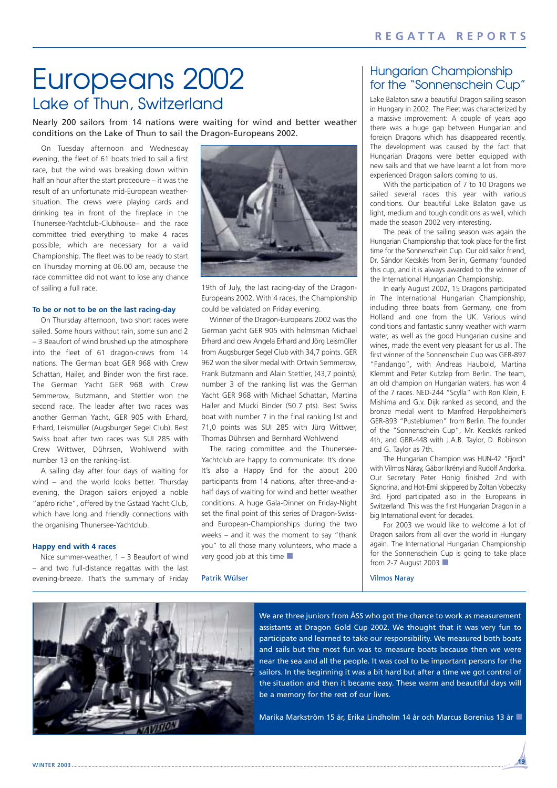## Europeans 2002 Lake of Thun, Switzerland

Nearly 200 sailors from 14 nations were waiting for wind and better weather conditions on the Lake of Thun to sail the Dragon-Europeans 2002.

On Tuesday afternoon and Wednesday evening, the fleet of 61 boats tried to sail a first race, but the wind was breaking down within half an hour after the start procedure – it was the result of an unfortunate mid-European weathersituation. The crews were playing cards and drinking tea in front of the fireplace in the Thunersee-Yachtclub-Clubhouse– and the race committee tried everything to make 4 races possible, which are necessary for a valid Championship. The fleet was to be ready to start on Thursday morning at 06.00 am, because the race committee did not want to lose any chance of sailing a full race.

#### **To be or not to be on the last racing-day**

On Thursday afternoon, two short races were sailed. Some hours without rain, some sun and 2 – 3 Beaufort of wind brushed up the atmosphere into the fleet of 61 dragon-crews from 14 nations. The German boat GER 968 with Crew Schattan, Hailer, and Binder won the first race. The German Yacht GER 968 with Crew Semmerow, Butzmann, and Stettler won the second race. The leader after two races was another German Yacht, GER 905 with Erhard, Erhard, Leismüller (Augsburger Segel Club). Best Swiss boat after two races was SUI 285 with Crew Wittwer, Dührsen, Wohlwend with number 13 on the ranking-list.

A sailing day after four days of waiting for wind – and the world looks better. Thursday evening, the Dragon sailors enjoyed a noble "apéro riche", offered by the Gstaad Yacht Club, which have long and friendly connections with the organising Thunersee-Yachtclub.

#### **Happy end with 4 races**

Nice summer-weather, 1 – 3 Beaufort of wind – and two full-distance regattas with the last evening-breeze. That's the summary of Friday



19th of July, the last racing-day of the Dragon-Europeans 2002. With 4 races, the Championship could be validated on Friday evening.

Winner of the Dragon-Europeans 2002 was the German yacht GER 905 with helmsman Michael Erhard and crew Angela Erhard and Jörg Leismüller from Augsburger Segel Club with 34,7 points. GER 962 won the silver medal with Ortwin Semmerow, Frank Butzmann and Alain Stettler, (43,7 points); number 3 of the ranking list was the German Yacht GER 968 with Michael Schattan, Martina Hailer and Mucki Binder (50.7 pts). Best Swiss boat with number 7 in the final ranking list and 71,0 points was SUI 285 with Jürg Wittwer, Thomas Dührsen and Bernhard Wohlwend

The racing committee and the Thunersee-Yachtclub are happy to communicate: It's done. It's also a Happy End for the about 200 participants from 14 nations, after three-and-ahalf days of waiting for wind and better weather conditions. A huge Gala-Dinner on Friday-Night set the final point of this series of Dragon-Swissand European-Championships during the two weeks – and it was the moment to say "thank you" to all those many volunteers, who made a very good job at this time ■

#### Patrik Wülser

### Hungarian Championship for the "Sonnenschein Cup"

Lake Balaton saw a beautiful Dragon sailing season in Hungary in 2002. The Fleet was characterized by a massive improvement: A couple of years ago there was a huge gap between Hungarian and foreign Dragons which has disappeared recently. The development was caused by the fact that Hungarian Dragons were better equipped with new sails and that we have learnt a lot from more experienced Dragon sailors coming to us.

With the participation of 7 to 10 Dragons we sailed several races this year with various conditions. Our beautiful Lake Balaton gave us light, medium and tough conditions as well, which made the season 2002 very interesting.

The peak of the sailing season was again the Hungarian Championship that took place for the first time for the Sonnenschein Cup. Our old sailor friend, Dr. Sándor Kecskés from Berlin, Germany founded this cup, and it is always awarded to the winner of the International Hungarian Championship.

In early August 2002, 15 Dragons participated in The International Hungarian Championship, including three boats from Germany, one from Holland and one from the UK. Various wind conditions and fantastic sunny weather with warm water, as well as the good Hungarian cuisine and wines, made the event very pleasant for us all. The first winner of the Sonnenschein Cup was GER-897 "Fandango", with Andreas Haubold, Martina Klemmt and Peter Kutzlep from Berlin. The team, an old champion on Hungarian waters, has won 4 of the 7 races. NED-244 "Scylla" with Ron Klein, F. Mishima and G.v. Dijk ranked as second, and the bronze medal went to Manfred Herpolsheimer's GER-893 "Pusteblumen" from Berlin. The founder of the "Sonnenschein Cup", Mr. Kecskés ranked 4th, and GBR-448 with J.A.B. Taylor, D. Robinson and G. Taylor as 7th.

The Hungarian Champion was HUN-42 "Fjord" with Vilmos Náray, Gábor Ikrényi and Rudolf Andorka. Our Secretary Peter Honig finished 2nd with Signorina, and Hot-Emil skippered by Zoltan Vobeczky 3rd. Fjord participated also in the Europeans in Switzerland. This was the first Hungarian Dragon in a big International event for decades.

For 2003 we would like to welcome a lot of Dragon sailors from all over the world in Hungary again. The International Hungarian Championship for the Sonnenschein Cup is going to take place from 2-7 August 2003 ■

#### Vilmos Naray



We are three juniors from ÅSS who got the chance to work as measurement assistants at Dragon Gold Cup 2002. We thought that it was very fun to participate and learned to take our responsibility. We measured both boats and sails but the most fun was to measure boats because then we were near the sea and all the people. It was cool to be important persons for the sailors. In the beginning it was a bit hard but after a time we got control of the situation and then it became easy. These warm and beautiful days will be a memory for the rest of our lives.

Marika Markström 15 år, Erika Lindholm 14 år och Marcus Borenius 13 år ■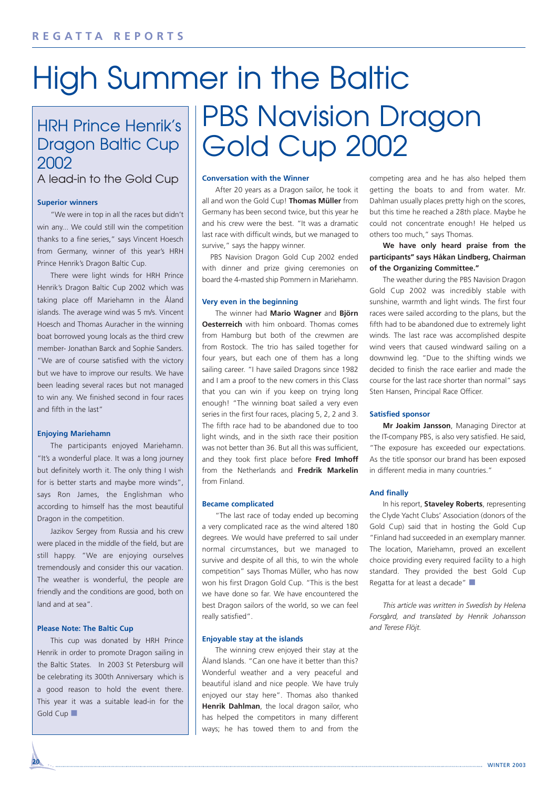# High Summer in the Baltic

## HRH Prince Henrik's Dragon Baltic Cup 2002

A lead-in to the Gold Cup

#### **Superior winners**

"We were in top in all the races but didn't win any... We could still win the competition thanks to a fine series," says Vincent Hoesch from Germany, winner of this year's HRH Prince Henrik's Dragon Baltic Cup.

There were light winds for HRH Prince Henrik's Dragon Baltic Cup 2002 which was taking place off Mariehamn in the Åland islands. The average wind was 5 m/s. Vincent Hoesch and Thomas Auracher in the winning boat borrowed young locals as the third crew member- Jonathan Barck and Sophie Sanders. "We are of course satisfied with the victory but we have to improve our results. We have been leading several races but not managed to win any. We finished second in four races and fifth in the last"

#### **Enjoying Mariehamn**

The participants enjoyed Mariehamn. "It's a wonderful place. It was a long journey but definitely worth it. The only thing I wish for is better starts and maybe more winds", says Ron James, the Englishman who according to himself has the most beautiful Dragon in the competition.

Jazikov Sergey from Russia and his crew were placed in the middle of the field, but are still happy. "We are enjoying ourselves tremendously and consider this our vacation. The weather is wonderful, the people are friendly and the conditions are good, both on land and at sea".

#### **Please Note: The Baltic Cup**

This cup was donated by HRH Prince Henrik in order to promote Dragon sailing in the Baltic States. In 2003 St Petersburg will be celebrating its 300th Anniversary which is a good reason to hold the event there. This year it was a suitable lead-in for the Gold Cup

# PBS Navision Dragon Gold Cup 2002

#### **Conversation with the Winner**

After 20 years as a Dragon sailor, he took it all and won the Gold Cup! **Thomas Müller** from Germany has been second twice, but this year he and his crew were the best. "It was a dramatic last race with difficult winds, but we managed to survive," says the happy winner.

PBS Navision Dragon Gold Cup 2002 ended with dinner and prize giving ceremonies on board the 4-masted ship Pommern in Mariehamn.

#### **Very even in the beginning**

The winner had **Mario Wagner** and **Björn Oesterreich** with him onboard. Thomas comes from Hamburg but both of the crewmen are from Rostock. The trio has sailed together for four years, but each one of them has a long sailing career. "I have sailed Dragons since 1982 and I am a proof to the new comers in this Class that you can win if you keep on trying long enough! "The winning boat sailed a very even series in the first four races, placing 5, 2, 2 and 3. The fifth race had to be abandoned due to too light winds, and in the sixth race their position was not better than 36. But all this was sufficient, and they took first place before **Fred Imhoff** from the Netherlands and **Fredrik Markelin** from Finland.

#### **Became complicated**

"The last race of today ended up becoming a very complicated race as the wind altered 180 degrees. We would have preferred to sail under normal circumstances, but we managed to survive and despite of all this, to win the whole competition" says Thomas Müller, who has now won his first Dragon Gold Cup. "This is the best we have done so far. We have encountered the best Dragon sailors of the world, so we can feel really satisfied".

#### **Enjoyable stay at the islands**

The winning crew enjoyed their stay at the Åland Islands. "Can one have it better than this? Wonderful weather and a very peaceful and beautiful island and nice people. We have truly enjoyed our stay here". Thomas also thanked **Henrik Dahlman**, the local dragon sailor, who has helped the competitors in many different ways; he has towed them to and from the competing area and he has also helped them getting the boats to and from water. Mr. Dahlman usually places pretty high on the scores, but this time he reached a 28th place. Maybe he could not concentrate enough! He helped us others too much," says Thomas.

**We have only heard praise from the participants" says Håkan Lindberg, Chairman of the Organizing Committee."**

The weather during the PBS Navision Dragon Gold Cup 2002 was incredibly stable with sunshine, warmth and light winds. The first four races were sailed according to the plans, but the fifth had to be abandoned due to extremely light winds. The last race was accomplished despite wind veers that caused windward sailing on a downwind leg. "Due to the shifting winds we decided to finish the race earlier and made the course for the last race shorter than normal" says Sten Hansen, Principal Race Officer.

#### **Satisfied sponsor**

**Mr Joakim Jansson**, Managing Director at the IT-company PBS, is also very satisfied. He said, "The exposure has exceeded our expectations. As the title sponsor our brand has been exposed in different media in many countries."

#### **And finally**

In his report, **Staveley Roberts**, representing the Clyde Yacht Clubs' Association (donors of the Gold Cup) said that in hosting the Gold Cup "Finland had succeeded in an exemplary manner. The location, Mariehamn, proved an excellent choice providing every required facility to a high standard. They provided the best Gold Cup Regatta for at least a decade" ■

*This article was written in Swedish by Helena Forsg˚ard, and translated by Henrik Johansson and Terese Flöjt.*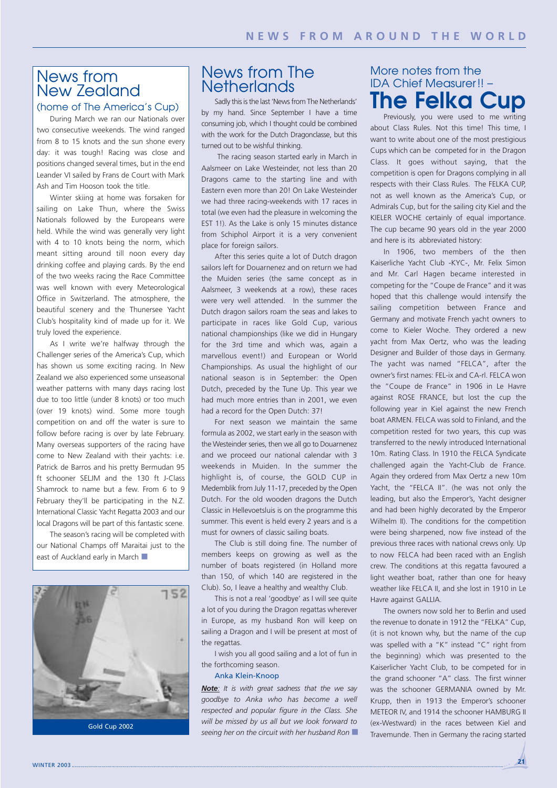### News from New Zealand (home of The America's Cup)

During March we ran our Nationals over two consecutive weekends. The wind ranged from 8 to 15 knots and the sun shone every day: it was tough! Racing was close and positions changed several times, but in the end Leander VI sailed by Frans de Court with Mark Ash and Tim Hooson took the title.

Winter skiing at home was forsaken for sailing on Lake Thun, where the Swiss Nationals followed by the Europeans were held. While the wind was generally very light with 4 to 10 knots being the norm, which meant sitting around till noon every day drinking coffee and playing cards. By the end of the two weeks racing the Race Committee was well known with every Meteorological Office in Switzerland. The atmosphere, the beautiful scenery and the Thunersee Yacht Club's hospitality kind of made up for it. We truly loved the experience.

As I write we're halfway through the Challenger series of the America's Cup, which has shown us some exciting racing. In New Zealand we also experienced some unseasonal weather patterns with many days racing lost due to too little (under 8 knots) or too much (over 19 knots) wind. Some more tough competition on and off the water is sure to follow before racing is over by late February. Many overseas supporters of the racing have come to New Zealand with their yachts: i.e. Patrick de Barros and his pretty Bermudan 95 ft schooner SELJM and the 130 ft J-Class Shamrock to name but a few. From 6 to 9 February they'll be participating in the N.Z. International Classic Yacht Regatta 2003 and our local Dragons will be part of this fantastic scene.

The season's racing will be completed with our National Champs off Maraitai just to the east of Auckland early in March



### News from The **Netherlands**

Sadly this is the last 'News from The Netherlands' by my hand. Since September I have a time consuming job, which I thought could be combined with the work for the Dutch Dragonclasse, but this turned out to be wishful thinking.

The racing season started early in March in Aalsmeer on Lake Westeinder, not less than 20 Dragons came to the starting line and with Eastern even more than 20! On Lake Westeinder we had three racing-weekends with 17 races in total (we even had the pleasure in welcoming the EST 1!). As the Lake is only 15 minutes distance from Schiphol Airport it is a very convenient place for foreign sailors.

After this series quite a lot of Dutch dragon sailors left for Douarnenez and on return we had the Muiden series (the same concept as in Aalsmeer, 3 weekends at a row), these races were very well attended. In the summer the Dutch dragon sailors roam the seas and lakes to participate in races like Gold Cup, various national championships (like we did in Hungary for the 3rd time and which was, again a marvellous event!) and European or World Championships. As usual the highlight of our national season is in September: the Open Dutch, preceded by the Tune Up. This year we had much more entries than in 2001, we even had a record for the Open Dutch: 37!

For next season we maintain the same formula as 2002, we start early in the season with the Westeinder series, then we all go to Douarnenez and we proceed our national calendar with 3 weekends in Muiden. In the summer the highlight is, of course, the GOLD CUP in Medemblik from July 11-17, preceded by the Open Dutch. For the old wooden dragons the Dutch Classic in Hellevoetsluis is on the programme this summer. This event is held every 2 years and is a must for owners of classic sailing boats.

The Club is still doing fine. The number of members keeps on growing as well as the number of boats registered (in Holland more than 150, of which 140 are registered in the Club). So, I leave a healthy and wealthy Club.

This is not a real 'goodbye' as I will see quite a lot of you during the Dragon regattas wherever in Europe, as my husband Ron will keep on sailing a Dragon and I will be present at most of the regattas.

I wish you all good sailing and a lot of fun in the forthcoming season.

#### Anka Klein-Knoop

*Note: It is with great sadness that the we say goodbye to Anka who has become a well respected and popular figure in the Class. She will be missed by us all but we look forward to seeing her on the circuit with her husband Ron* ■

### More notes from the IDA Chief Measurer!! – **The Felka Cup**

Previously, you were used to me writing about Class Rules. Not this time! This time, I want to write about one of the most prestigious Cups which can be competed for in the Dragon Class. It goes without saying, that the competition is open for Dragons complying in all respects with their Class Rules. The FELKA CUP, not as well known as the America's Cup, or Admirals Cup, but for the sailing city Kiel and the KIELER WOCHE certainly of equal importance. The cup became 90 years old in the year 2000 and here is its abbreviated history:

In 1906, two members of the then Kaiserliche Yacht Club -KYC-, Mr. Felix Simon and Mr. Carl Hagen became interested in competing for the "Coupe de France" and it was hoped that this challenge would intensify the sailing competition between France and Germany and motivate French yacht owners to come to Kieler Woche. They ordered a new yacht from Max Oertz, who was the leading Designer and Builder of those days in Germany. The yacht was named "FELCA", after the owner's first names: FEL-ix and CA-rl. FELCA won the "Coupe de France" in 1906 in Le Havre against ROSE FRANCE, but lost the cup the following year in Kiel against the new French boat ARMEN. FELCA was sold to Finland, and the competition rested for two years, this cup was transferred to the newly introduced International 10m. Rating Class. In 1910 the FELCA Syndicate challenged again the Yacht-Club de France. Again they ordered from Max Oertz a new 10m Yacht, the "FELCA II". (he was not only the leading, but also the Emperor's, Yacht designer and had been highly decorated by the Emperor Wilhelm II). The conditions for the competition were being sharpened, now five instead of the previous three races with national crews only. Up to now FELCA had been raced with an English crew. The conditions at this regatta favoured a light weather boat, rather than one for heavy weather like FELCA II, and she lost in 1910 in Le Havre against GALLIA.

The owners now sold her to Berlin and used the revenue to donate in 1912 the "FELKA" Cup, (it is not known why, but the name of the cup was spelled with a "K" instead "C" right from the beginning) which was presented to the Kaiserlicher Yacht Club, to be competed for in the grand schooner "A" class. The first winner was the schooner GERMANIA owned by Mr. Krupp, then in 1913 the Emperor's schooner METEOR IV, and 1914 the schooner HAMBURG II (ex-Westward) in the races between Kiel and Travemunde. Then in Germany the racing started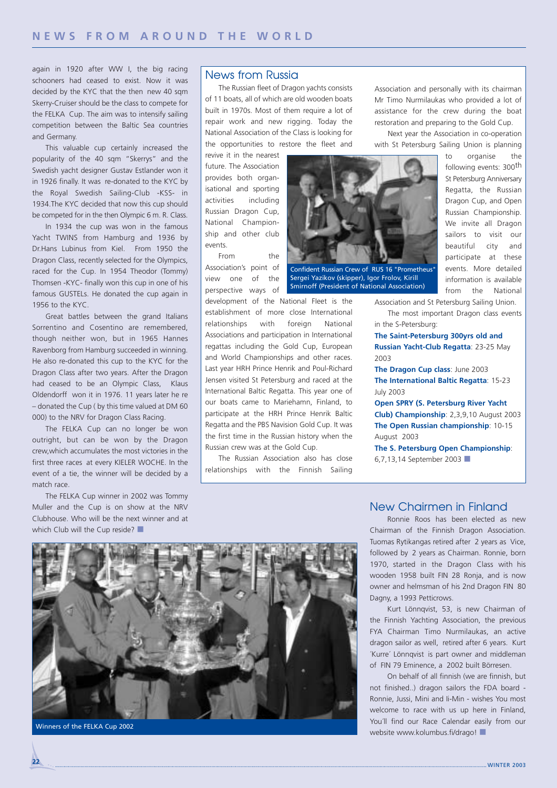again in 1920 after WW I, the big racing schooners had ceased to exist. Now it was decided by the KYC that the then new 40 sqm Skerry-Cruiser should be the class to compete for the FELKA Cup. The aim was to intensify sailing competition between the Baltic Sea countries and Germany.

This valuable cup certainly increased the popularity of the 40 sqm "Skerrys" and the Swedish yacht designer Gustav Estlander won it in 1926 finally. It was re-donated to the KYC by the Royal Swedish Sailing-Club -KSS- in 1934.The KYC decided that now this cup should be competed for in the then Olympic 6 m. R. Class.

In 1934 the cup was won in the famous Yacht TWINS from Hamburg and 1936 by Dr.Hans Lubinus from Kiel. From 1950 the Dragon Class, recently selected for the Olympics, raced for the Cup. In 1954 Theodor (Tommy) Thomsen -KYC- finally won this cup in one of his famous GUSTELs. He donated the cup again in 1956 to the KYC.

Great battles between the grand Italians Sorrentino and Cosentino are remembered, though neither won, but in 1965 Hannes Ravenborg from Hamburg succeeded in winning. He also re-donated this cup to the KYC for the Dragon Class after two years. After the Dragon had ceased to be an Olympic Class, Klaus Oldendorff won it in 1976. 11 years later he re – donated the Cup ( by this time valued at DM 60 000) to the NRV for Dragon Class Racing.

The FELKA Cup can no longer be won outright, but can be won by the Dragon crew,which accumulates the most victories in the first three races at every KIELER WOCHE. In the event of a tie, the winner will be decided by a match race.

The FELKA Cup winner in 2002 was Tommy Muller and the Cup is on show at the NRV Clubhouse. Who will be the next winner and at which Club will the Cup reside?

### News from Russia

The Russian fleet of Dragon yachts consists of 11 boats, all of which are old wooden boats built in 1970s. Most of them require a lot of repair work and new rigging. Today the National Association of the Class is looking for the opportunities to restore the fleet and

revive it in the nearest future. The Association provides both organisational and sporting activities including Russian Dragon Cup, National Championship and other club events.

From the Association's point of view one of the perspective ways of



Sergei Yazikov (skipper), Igor Frolov, Kirill Smirnoff (President of National Association)

development of the National FIeet is the establishment of more close International relationships with foreign National Associations and participation in International regattas including the Gold Cup, European and World Championships and other races. Last year HRH Prince Henrik and Poul-Richard Jensen visited St Petersburg and raced at the International Baltic Regatta. This year one of our boats came to Mariehamn, Finland, to participate at the HRH Prince Henrik Baltic Regatta and the PBS Navision Gold Cup. It was the first time in the Russian history when the Russian crew was at the Gold Cup.

The Russian Association also has close relationships with the Finnish Sailing

Association and personally with its chairman Mr Timo Nurmilaukas who provided a lot of assistance for the crew during the boat restoration and preparing to the Gold Cup.

Next year the Association in co-operation with St Petersburg Sailing Union is planning

> to organise the following events: 300<sup>th</sup> St Petersburg Anniversary Regatta, the Russian Dragon Cup, and Open Russian Championship. We invite all Dragon sailors to visit our beautiful city and participate at these events. More detailed information is available from the National

Association and St Petersburg Sailing Union.

The most important Dragon class events in the S-Petersburg:

**The Saint-Petersburg 300yrs old and Russian Yacht-Club Regatta**: 23-25 May 2003

**The Dragon Cup class**: June 2003 **The International Baltic Regatta**: 15-23 July 2003

**Open SPRY (S. Petersburg River Yacht Club) Championship**: 2,3,9,10 August 2003 **The Open Russian championship**: 10-15 August 2003

**The S. Petersburg Open Championship**: 6,7,13,14 September 2003 ■



### New Chairmen in Finland

Ronnie Roos has been elected as new Chairman of the Finnish Dragon Association. Tuomas Rytikangas retired after 2 years as Vice, followed by 2 years as Chairman. Ronnie, born 1970, started in the Dragon Class with his wooden 1958 built FIN 28 Ronja, and is now owner and helmsman of his 2nd Dragon FIN 80 Dagny, a 1993 Petticrows.

Kurt Lönnqvist, 53, is new Chairman of the Finnish Yachting Association, the previous FYA Chairman Timo Nurmilaukas, an active dragon sailor as well, retired after 6 years. Kurt ´Kurre´ Lönnqvist is part owner and middleman of FIN 79 Eminence, a 2002 built Börresen.

On behalf of all finnish (we are finnish, but not finished..) dragon sailors the FDA board - Ronnie, Jussi, Mini and Ii-Min - wishes You most welcome to race with us up here in Finland, You´ll find our Race Calendar easily from our Winners of the FELKA Cup 2002<br>■ Winners of the FELKA Cup 2002<br>■ Website www.kolumbus.fi/drago!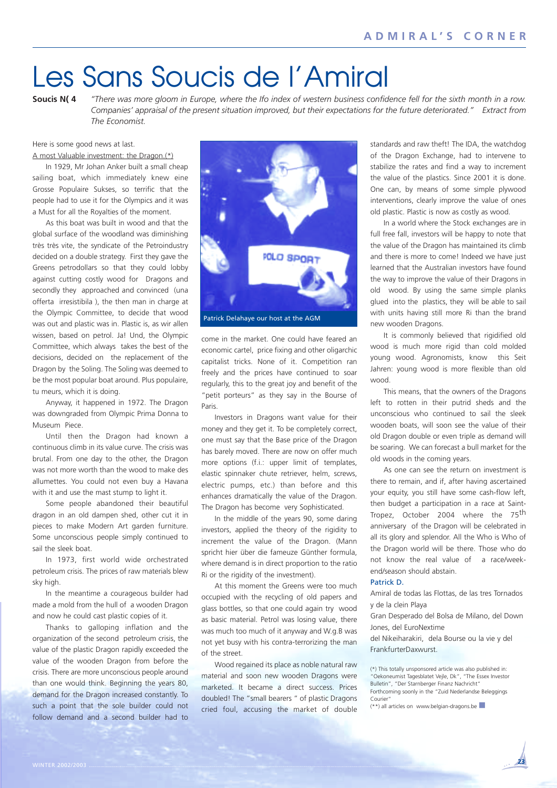## Les Sans Soucis de l'Amiral

**Soucis N( 4** *"There was more gloom in Europe, where the Ifo index of western business confidence fell for the sixth month in a row. Companies' appraisal of the present situation improved, but their expectations for the future deteriorated." Extract from The Economist.*

Here is some good news at last.

A most Valuable investment: the Dragon.(\*)

In 1929, Mr Johan Anker built a small cheap sailing boat, which immediately knew eine Grosse Populaire Sukses, so terrific that the people had to use it for the Olympics and it was a Must for all the Royalties of the moment.

As this boat was built in wood and that the global surface of the woodland was diminishing très très vite, the syndicate of the Petroindustry decided on a double strategy. First they gave the Greens petrodollars so that they could lobby against cutting costly wood for Dragons and secondly they approached and convinced (una offerta irresistibila ), the then man in charge at the Olympic Committee, to decide that wood was out and plastic was in. Plastic is, as wir allen wissen, based on petrol. Ja! Und, the Olympic Committee, which always takes the best of the decisions, decided on the replacement of the Dragon by the Soling. The Soling was deemed to be the most popular boat around. Plus populaire, tu meurs, which it is doing.

Anyway, it happened in 1972. The Dragon was downgraded from Olympic Prima Donna to Museum Piece.

Until then the Dragon had known a continuous climb in its value curve. The crisis was brutal. From one day to the other, the Dragon was not more worth than the wood to make des allumettes. You could not even buy a Havana with it and use the mast stump to light it.

Some people abandoned their beautiful dragon in an old dampen shed, other cut it in pieces to make Modern Art garden furniture. Some unconscious people simply continued to sail the sleek boat.

In 1973, first world wide orchestrated petroleum crisis. The prices of raw materials blew sky high.

In the meantime a courageous builder had made a mold from the hull of a wooden Dragon and now he could cast plastic copies of it.

Thanks to galloping inflation and the organization of the second petroleum crisis, the value of the plastic Dragon rapidly exceeded the value of the wooden Dragon from before the crisis. There are more unconscious people around than one would think. Beginning the years 80, demand for the Dragon increased constantly. To such a point that the sole builder could not follow demand and a second builder had to



come in the market. One could have feared an economic cartel, price fixing and other oligarchic capitalist tricks. None of it. Competition ran freely and the prices have continued to soar regularly, this to the great joy and benefit of the "petit porteurs" as they say in the Bourse of Paris.

Investors in Dragons want value for their money and they get it. To be completely correct, one must say that the Base price of the Dragon has barely moved. There are now on offer much more options (f.i.: upper limit of templates, elastic spinnaker chute retriever, helm, screws, electric pumps, etc.) than before and this enhances dramatically the value of the Dragon. The Dragon has become very Sophisticated.

In the middle of the years 90, some daring investors, applied the theory of the rigidity to increment the value of the Dragon. (Mann spricht hier über die fameuze Günther formula, where demand is in direct proportion to the ratio Ri or the rigidity of the investment).

At this moment the Greens were too much occupied with the recycling of old papers and glass bottles, so that one could again try wood as basic material. Petrol was losing value, there was much too much of it anyway and W.g.B was not yet busy with his contra-terrorizing the man of the street.

Wood regained its place as noble natural raw material and soon new wooden Dragons were marketed. It became a direct success. Prices doubled! The "small bearers " of plastic Dragons cried foul, accusing the market of double standards and raw theft! The IDA, the watchdog of the Dragon Exchange, had to intervene to stabilize the rates and find a way to increment the value of the plastics. Since 2001 it is done. One can, by means of some simple plywood interventions, clearly improve the value of ones old plastic. Plastic is now as costly as wood.

In a world where the Stock exchanges are in full free fall, investors will be happy to note that the value of the Dragon has maintained its climb and there is more to come! Indeed we have just learned that the Australian investors have found the way to improve the value of their Dragons in old wood. By using the same simple planks glued into the plastics, they will be able to sail with units having still more Ri than the brand new wooden Dragons.

It is commonly believed that rigidified old wood is much more rigid than cold molded young wood. Agronomists, know this Seit Jahren: young wood is more flexible than old wood.

This means, that the owners of the Dragons left to rotten in their putrid sheds and the unconscious who continued to sail the sleek wooden boats, will soon see the value of their old Dragon double or even triple as demand will be soaring. We can forecast a bull market for the old woods in the coming years.

As one can see the return on investment is there to remain, and if, after having ascertained your equity, you still have some cash-flow left, then budget a participation in a race at Saint-Tropez, October 2004 where the 75<sup>th</sup> anniversary of the Dragon will be celebrated in all its glory and splendor. All the Who is Who of the Dragon world will be there. Those who do not know the real value of a race/weekend/season should abstain.

#### Patrick D.

Amiral de todas las Flottas, de las tres Tornados y de la clein Playa

Gran Desperado del Bolsa de Milano, del Down Jones, del EuroNextime

del Nikeiharakiri, dela Bourse ou la vie y del FrankfurterDaxwurst.

| (*) This totally unsponsored article was also published in: |
|-------------------------------------------------------------|
| "Oekoneumist Tagesblatet Vejle, Dk", "The Essex Investor    |
| Bulletin", "Der Starnberger Finanz Nachricht"               |
| Forthcoming soonly in the "Zuid Nederlandse Beleggings      |
| Courier"                                                    |

(\*\*) all articles on www.belgian-dragons.be ■